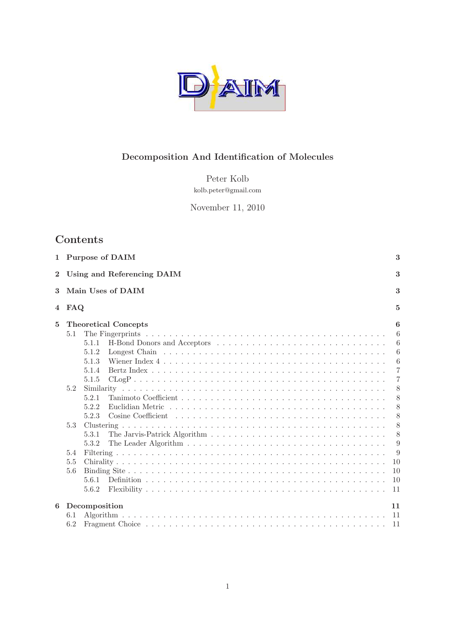

# Decomposition And Identification of Molecules

Peter Kolb kolb.peter@gmail.com

November 11, 2010

# Contents

|          | 1 Purpose of DAIM<br>3          |                             |                 |  |  |  |  |  |  |
|----------|---------------------------------|-----------------------------|-----------------|--|--|--|--|--|--|
| $\bf{2}$ | 3<br>Using and Referencing DAIM |                             |                 |  |  |  |  |  |  |
| 3        |                                 | Main Uses of DAIM           | 3               |  |  |  |  |  |  |
|          | 4 FAQ<br>5                      |                             |                 |  |  |  |  |  |  |
| 5        |                                 | <b>Theoretical Concepts</b> | 6               |  |  |  |  |  |  |
|          | 5.1                             |                             | 6               |  |  |  |  |  |  |
|          |                                 | 5.1.1                       | 6               |  |  |  |  |  |  |
|          |                                 | 5.1.2                       | 6               |  |  |  |  |  |  |
|          |                                 | 5.1.3                       | $6\phantom{.}6$ |  |  |  |  |  |  |
|          |                                 | 5.1.4                       | 7               |  |  |  |  |  |  |
|          |                                 | 5.1.5                       | 7               |  |  |  |  |  |  |
|          | 5.2                             |                             | 8               |  |  |  |  |  |  |
|          |                                 | 5.2.1                       | 8               |  |  |  |  |  |  |
|          |                                 | 5.2.2                       | 8               |  |  |  |  |  |  |
|          |                                 | 5.2.3                       | 8               |  |  |  |  |  |  |
|          | 5.3                             |                             | 8               |  |  |  |  |  |  |
|          |                                 | 5.3.1                       | 8               |  |  |  |  |  |  |
|          |                                 | 5.3.2                       | 9               |  |  |  |  |  |  |
|          | 5.4                             |                             | 9               |  |  |  |  |  |  |
|          | 5.5                             |                             | 10              |  |  |  |  |  |  |
|          | 5.6                             |                             | 10              |  |  |  |  |  |  |
|          |                                 | 5.6.1                       | 10              |  |  |  |  |  |  |
|          |                                 | 5.6.2                       | 11              |  |  |  |  |  |  |
|          |                                 |                             |                 |  |  |  |  |  |  |
| 6        |                                 | Decomposition               | 11              |  |  |  |  |  |  |
|          | 6.1                             |                             | -11             |  |  |  |  |  |  |
|          | 6.2                             |                             |                 |  |  |  |  |  |  |
|          |                                 |                             |                 |  |  |  |  |  |  |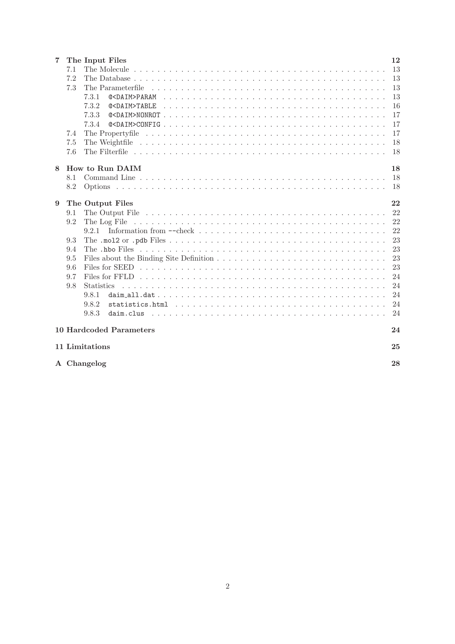| 7 |     | The Input Files                                                                                                               | 12            |
|---|-----|-------------------------------------------------------------------------------------------------------------------------------|---------------|
|   | 7.1 |                                                                                                                               | -13           |
|   | 7.2 |                                                                                                                               | 13            |
|   | 7.3 | The Parameterfile                                                                                                             | 13            |
|   |     | 7.3.1                                                                                                                         | 13            |
|   |     | 7.3.2                                                                                                                         | <sup>16</sup> |
|   |     | 7.3.3                                                                                                                         | 17            |
|   |     | 7.3.4                                                                                                                         | 17            |
|   | 7.4 |                                                                                                                               | 17            |
|   | 7.5 |                                                                                                                               | 18            |
|   | 7.6 |                                                                                                                               | <sup>18</sup> |
| 8 |     | How to Run DAIM                                                                                                               | 18            |
|   | 8.1 |                                                                                                                               | - 18          |
|   | 8.2 |                                                                                                                               |               |
|   |     |                                                                                                                               |               |
| 9 |     | The Output Files                                                                                                              | 22            |
|   | 9.1 |                                                                                                                               | 22            |
|   | 9.2 |                                                                                                                               | 22            |
|   |     | Information from $-\text{check} \dots \dots \dots \dots \dots \dots \dots \dots \dots \dots \dots \dots \dots \dots$<br>9.2.1 | 22            |
|   | 9.3 |                                                                                                                               | 23            |
|   | 9.4 |                                                                                                                               | 23            |
|   | 9.5 |                                                                                                                               | 23            |
|   | 9.6 |                                                                                                                               | 23            |
|   | 9.7 |                                                                                                                               | 24            |
|   | 9.8 | <b>Statistics</b>                                                                                                             | 24            |
|   |     | 9.8.1                                                                                                                         | 24            |
|   |     | 9.8.2                                                                                                                         | 24            |
|   |     | 9.8.3                                                                                                                         | 24            |
|   |     | <b>10 Hardcoded Parameters</b>                                                                                                | 24            |
|   |     |                                                                                                                               |               |
|   |     | 11 Limitations                                                                                                                | 25            |
|   |     | A Changelog                                                                                                                   | 28            |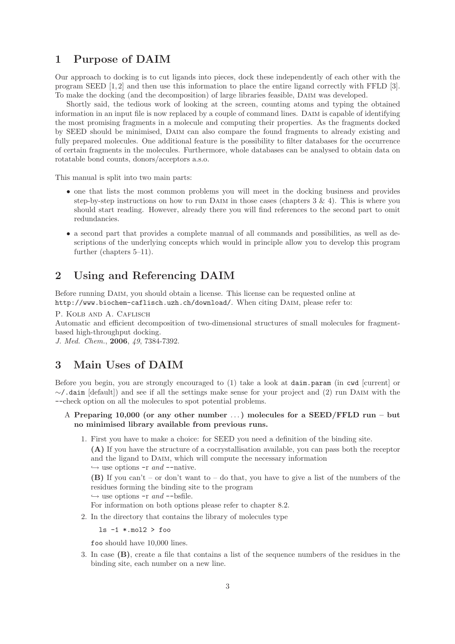### 1 Purpose of DAIM

Our approach to docking is to cut ligands into pieces, dock these independently of each other with the program SEED [1,2] and then use this information to place the entire ligand correctly with FFLD [3]. To make the docking (and the decomposition) of large libraries feasible, DAIM was developed.

Shortly said, the tedious work of looking at the screen, counting atoms and typing the obtained information in an input file is now replaced by a couple of command lines. DAIM is capable of identifying the most promising fragments in a molecule and computing their properties. As the fragments docked by SEED should be minimised, Daim can also compare the found fragments to already existing and fully prepared molecules. One additional feature is the possibility to filter databases for the occurrence of certain fragments in the molecules. Furthermore, whole databases can be analysed to obtain data on rotatable bond counts, donors/acceptors a.s.o.

This manual is split into two main parts:

- one that lists the most common problems you will meet in the docking business and provides step-by-step instructions on how to run DAIM in those cases (chapters  $3 \& 4$ ). This is where you should start reading. However, already there you will find references to the second part to omit redundancies.
- a second part that provides a complete manual of all commands and possibilities, as well as descriptions of the underlying concepts which would in principle allow you to develop this program further (chapters 5–11).

### 2 Using and Referencing DAIM

Before running DAIM, you should obtain a license. This license can be requested online at http://www.biochem-caflisch.uzh.ch/download/. When citing Daim, please refer to:

P. KOLB AND A. CAFLISCH

Automatic and efficient decomposition of two-dimensional structures of small molecules for fragmentbased high-throughput docking.

*J. Med. Chem.*, 2006, *49*, 7384-7392.

### 3 Main Uses of DAIM

Before you begin, you are strongly encouraged to (1) take a look at daim.param (in cwd [current] or ∼/.daim [default]) and see if all the settings make sense for your project and (2) run Daim with the --check option on all the molecules to spot potential problems.

- A Preparing 10,000 (or any other number ... ) molecules for a SEED/FFLD run but no minimised library available from previous runs.
	- 1. First you have to make a choice: for SEED you need a definition of the binding site.

(A) If you have the structure of a cocrystallisation available, you can pass both the receptor and the ligand to Daim, which will compute the necessary information

 $\hookrightarrow$  use options  $-r$  *and*  $--$ native.

(B) If you can't – or don't want to – do that, you have to give a list of the numbers of the residues forming the binding site to the program

 $\hookrightarrow$  use options -r *and* --bsfile.

For information on both options please refer to chapter 8.2.

2. In the directory that contains the library of molecules type

 $ls -1$  \*.mol2 > foo

foo should have 10,000 lines.

3. In case (B), create a file that contains a list of the sequence numbers of the residues in the binding site, each number on a new line.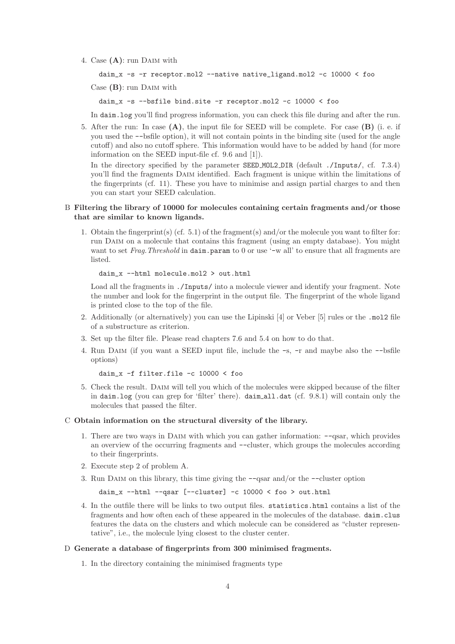4. Case  $(A)$ : run DAIM with

```
daim_x -s -r receptor.mol2 --native native_ligand.mol2 -c 10000 < foo
```
 $Case$  (B): run DAIM with

daim\_x -s --bsfile bind.site -r receptor.mol2 -c 10000 < foo

In daim.log you'll find progress information, you can check this file during and after the run.

5. After the run: In case  $(A)$ , the input file for SEED will be complete. For case  $(B)$  (i. e. if you used the --bsfile option), it will not contain points in the binding site (used for the angle cutoff) and also no cutoff sphere. This information would have to be added by hand (for more information on the SEED input-file cf. 9.6 and [1]).

In the directory specified by the parameter SEED MOL2 DIR (default ./Inputs/, cf. 7.3.4) you'll find the fragments DAIM identified. Each fragment is unique within the limitations of the fingerprints (cf. 11). These you have to minimise and assign partial charges to and then you can start your SEED calculation.

#### B Filtering the library of 10000 for molecules containing certain fragments and/or those that are similar to known ligands.

1. Obtain the fingerprint(s) (cf. 5.1) of the fragment(s) and/or the molecule you want to filter for: run Daim on a molecule that contains this fragment (using an empty database). You might want to set *Frag.Threshold* in daim.param to 0 or use '-w all' to ensure that all fragments are listed.

```
daim_x --html molecule.mol2 > out.html
```
Load all the fragments in ./Inputs/ into a molecule viewer and identify your fragment. Note the number and look for the fingerprint in the output file. The fingerprint of the whole ligand is printed close to the top of the file.

- 2. Additionally (or alternatively) you can use the Lipinski [4] or Veber [5] rules or the .mol2 file of a substructure as criterion.
- 3. Set up the filter file. Please read chapters 7.6 and 5.4 on how to do that.
- 4. Run Daim (if you want a SEED input file, include the -s, -r and maybe also the --bsfile options)

daim\_x -f filter.file -c 10000 < foo

5. Check the result. Daim will tell you which of the molecules were skipped because of the filter in daim.log (you can grep for 'filter' there). daim all.dat (cf. 9.8.1) will contain only the molecules that passed the filter.

#### C Obtain information on the structural diversity of the library.

- 1. There are two ways in Daim with which you can gather information: --qsar, which provides an overview of the occurring fragments and --cluster, which groups the molecules according to their fingerprints.
- 2. Execute step 2 of problem A.
- 3. Run DAIM on this library, this time giving the  $-\text{-qsar}$  and/or the  $-\text{-cluster}$  option

daim  $x$  --html --qsar  $[-\text{cluster}]$  -c 10000 < foo > out.html

4. In the outfile there will be links to two output files. statistics.html contains a list of the fragments and how often each of these appeared in the molecules of the database. daim.clus features the data on the clusters and which molecule can be considered as "cluster representative", i.e., the molecule lying closest to the cluster center.

#### D Generate a database of fingerprints from 300 minimised fragments.

1. In the directory containing the minimised fragments type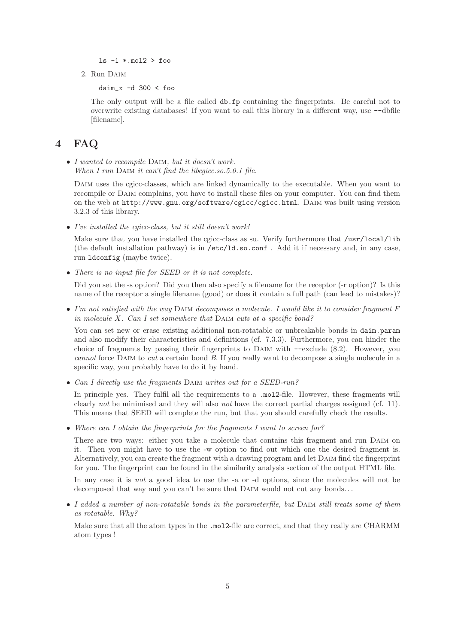$ls -1$  \*.mol2 > foo

2. Run Daim

daim\_x -d 300 < foo

The only output will be a file called db.fp containing the fingerprints. Be careful not to overwrite existing databases! If you want to call this library in a different way, use --dbfile [filename].

### 4 FAQ

• *I wanted to recompile* Daim*, but it doesn't work. When I run* DAIM *it can't find the libcgicc.so.5.0.1 file.* 

DAIM uses the cgicc-classes, which are linked dynamically to the executable. When you want to recompile or Daim complains, you have to install these files on your computer. You can find them on the web at http://www.gnu.org/software/cgicc/cgicc.html. Daim was built using version 3.2.3 of this library.

• *I've installed the cgicc-class, but it still doesn't work!*

Make sure that you have installed the cgicc-class as su. Verify furthermore that /usr/local/lib (the default installation pathway) is in /etc/ld.so.conf . Add it if necessary and, in any case, run ldconfig (maybe twice).

• *There is no input file for SEED or it is not complete.*

Did you set the -s option? Did you then also specify a filename for the receptor (-r option)? Is this name of the receptor a single filename (good) or does it contain a full path (can lead to mistakes)?

• *I'm not satisfied with the way* Daim *decomposes a molecule. I would like it to consider fragment* F *in molecule* X*. Can I set somewhere that* Daim *cuts at a specific bond?*

You can set new or erase existing additional non-rotatable or unbreakable bonds in daim.param and also modify their characteristics and definitions (cf. 7.3.3). Furthermore, you can hinder the choice of fragments by passing their fingerprints to Daim with --exclude (8.2). However, you *cannot* force Daim to *cut* a certain bond *B*. If you really want to decompose a single molecule in a specific way, you probably have to do it by hand.

• *Can I directly use the fragments* Daim *writes out for a SEED-run?*

In principle yes. They fulfil all the requirements to a .mol2-file. However, these fragments will clearly *not* be minimised and they will also *not* have the correct partial charges assigned (cf. 11). This means that SEED will complete the run, but that you should carefully check the results.

• *Where can I obtain the fingerprints for the fragments I want to screen for?*

There are two ways: either you take a molecule that contains this fragment and run Daim on it. Then you might have to use the -w option to find out which one the desired fragment is. Alternatively, you can create the fragment with a drawing program and let Daim find the fingerprint for you. The fingerprint can be found in the similarity analysis section of the output HTML file.

In any case it is *not* a good idea to use the -a or -d options, since the molecules will not be decomposed that way and you can't be sure that DAIM would not cut any bonds...

• *I added a number of non-rotatable bonds in the parameterfile, but* Daim *still treats some of them as rotatable. Why?*

Make sure that all the atom types in the .mol<sub>2</sub>-file are correct, and that they really are CHARMM atom types !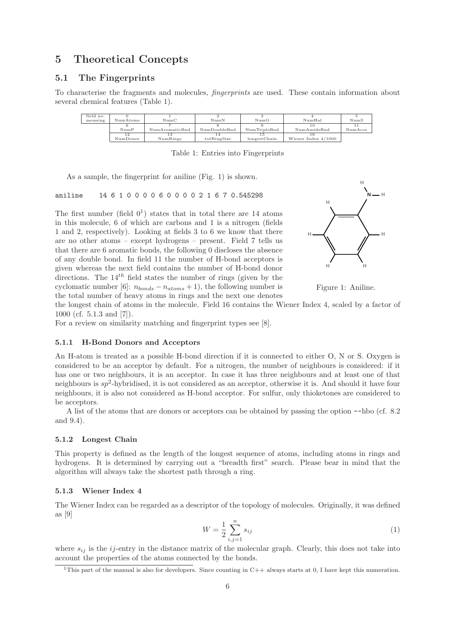### 5 Theoretical Concepts

#### 5.1 The Fingerprints

To characterise the fragments and molecules, *fingerprints* are used. These contain information about several chemical features (Table 1).

| field no. |          |                  |              |              |                     |         |
|-----------|----------|------------------|--------------|--------------|---------------------|---------|
| meaning   | NumAtoms | $_{\text{NumC}}$ | NumN         | NumO         | NumHal              | NumS    |
|           |          |                  |              |              |                     |         |
|           | NumP     | NumAromaticBnd   | NumDoubleBnd | NumTripleBnd | Num AmideBnd        | NumAcce |
|           | 12       |                  |              |              |                     |         |
|           | NumDonor | NumRings         | totRingSize  | longestChain | Wiener Index 4/1000 |         |

Table 1: Entries into Fingerprints

As a sample, the fingerprint for aniline (Fig. 1) is shown.

aniline 14 6 1 0 0 0 0 6 0 0 0 0 2 1 6 7 0.545298

The first number (field  $0^1$ ) states that in total there are 14 atoms in this molecule, 6 of which are carbons and 1 is a nitrogen (fields 1 and 2, respectively). Looking at fields 3 to 6 we know that there are no other atoms – except hydrogens – present. Field 7 tells us that there are 6 aromatic bonds, the following 0 discloses the absence of any double bond. In field 11 the number of H-bond acceptors is given whereas the next field contains the number of H-bond donor directions. The  $14^{th}$  field states the number of rings (given by the cyclomatic number [6]:  $n_{bonds} - n_{atoms} + 1$ , the following number is the total number of heavy atoms in rings and the next one denotes





the longest chain of atoms in the molecule. Field 16 contains the Wiener Index 4, scaled by a factor of 1000 (cf. 5.1.3 and [7]).

For a review on similarity matching and fingerprint types see [8].

#### 5.1.1 H-Bond Donors and Acceptors

An H-atom is treated as a possible H-bond direction if it is connected to either O, N or S. Oxygen is considered to be an acceptor by default. For a nitrogen, the number of neighbours is considered: if it has one or two neighbours, it is an acceptor. In case it has three neighbours and at least one of that neighbours is  $sp^2$ -hybridised, it is not considered as an acceptor, otherwise it is. And should it have four neighbours, it is also not considered as H-bond acceptor. For sulfur, only thioketones are considered to be acceptors.

A list of the atoms that are donors or acceptors can be obtained by passing the option --hbo (cf. 8.2 and 9.4).

#### 5.1.2 Longest Chain

This property is defined as the length of the longest sequence of atoms, including atoms in rings and hydrogens. It is determined by carrying out a "breadth first" search. Please bear in mind that the algorithm will always take the shortest path through a ring.

#### 5.1.3 Wiener Index 4

The Wiener Index can be regarded as a descriptor of the topology of molecules. Originally, it was defined as [9]

$$
W = \frac{1}{2} \sum_{i,j=1}^{n} s_{ij}
$$
 (1)

where  $s_{ij}$  is the ij-entry in the distance matrix of the molecular graph. Clearly, this does not take into account the properties of the atoms connected by the bonds.

<sup>&</sup>lt;sup>1</sup>This part of the manual is also for developers. Since counting in  $C++$  always starts at 0, I have kept this numeration.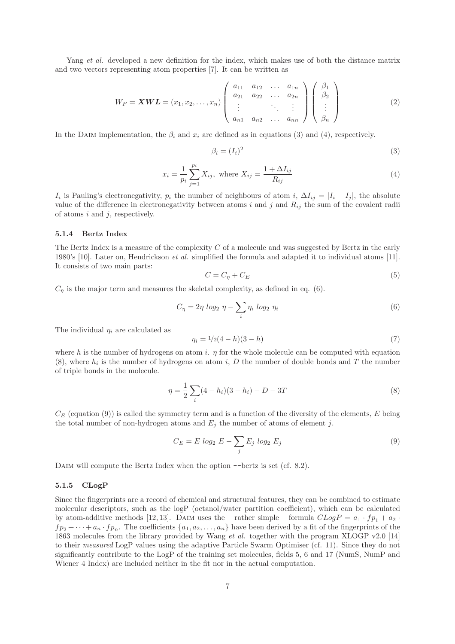Yang *et al.* developed a new definition for the index, which makes use of both the distance matrix and two vectors representing atom properties [7]. It can be written as

$$
W_F = \mathbf{XWL} = (x_1, x_2, \dots, x_n) \begin{pmatrix} a_{11} & a_{12} & \dots & a_{1n} \\ a_{21} & a_{22} & \dots & a_{2n} \\ \vdots & & \ddots & \vdots \\ a_{n1} & a_{n2} & \dots & a_{nn} \end{pmatrix} \begin{pmatrix} \beta_1 \\ \beta_2 \\ \vdots \\ \beta_n \end{pmatrix}
$$
 (2)

In the DAIM implementation, the  $\beta_i$  and  $x_i$  are defined as in equations (3) and (4), respectively.

$$
\beta_i = (I_i)^2 \tag{3}
$$

$$
x_i = \frac{1}{p_i} \sum_{j=1}^{p_i} X_{ij}, \text{ where } X_{ij} = \frac{1 + \Delta I_{ij}}{R_{ij}}
$$
 (4)

 $I_i$  is Pauling's electronegativity,  $p_i$  the number of neighbours of atom  $i$ ,  $\Delta I_{ij} = |I_i - I_j|$ , the absolute value of the difference in electronegativity between atoms  $i$  and  $j$  and  $R_{ij}$  the sum of the covalent radii of atoms  $i$  and  $j$ , respectively.

#### 5.1.4 Bertz Index

The Bertz Index is a measure of the complexity  $C$  of a molecule and was suggested by Bertz in the early 1980's [10]. Later on, Hendrickson *et al.* simplified the formula and adapted it to individual atoms [11]. It consists of two main parts:

$$
C = C_{\eta} + C_{E} \tag{5}
$$

 $C_{\eta}$  is the major term and measures the skeletal complexity, as defined in eq. (6).

$$
C_{\eta} = 2\eta \log_2 \eta - \sum_{i} \eta_i \log_2 \eta_i \tag{6}
$$

The individual  $\eta_i$  are calculated as

$$
\eta_i = 1/2(4-h)(3-h) \tag{7}
$$

where h is the number of hydrogens on atom i.  $\eta$  for the whole molecule can be computed with equation  $(8)$ , where  $h_i$  is the number of hydrogens on atom i, D the number of double bonds and T the number of triple bonds in the molecule.

$$
\eta = \frac{1}{2} \sum_{i} (4 - h_i)(3 - h_i) - D - 3T \tag{8}
$$

 $C_E$  (equation (9)) is called the symmetry term and is a function of the diversity of the elements, E being the total number of non-hydrogen atoms and  $E_i$  the number of atoms of element j.

$$
C_E = E \log_2 E - \sum_j E_j \log_2 E_j \tag{9}
$$

DAIM will compute the Bertz Index when the option  $-\text{bertz}$  is set (cf. 8.2).

#### 5.1.5 CLogP

Since the fingerprints are a record of chemical and structural features, they can be combined to estimate molecular descriptors, such as the logP (octanol/water partition coefficient), which can be calculated by atom-additive methods [12,13]. DAIM uses the – rather simple – formula  $CLogP = a_1 \cdot fp_1 + a_2 \cdot$  $fp_2 + \cdots + a_n \cdot fp_n$ . The coefficients  $\{a_1, a_2, \ldots, a_n\}$  have been derived by a fit of the fingerprints of the 1863 molecules from the library provided by Wang *et al.* together with the program XLOGP v2.0 [14] to their *measured* LogP values using the adaptive Particle Swarm Optimiser (cf. 11). Since they do not significantly contribute to the LogP of the training set molecules, fields 5, 6 and 17 (NumS, NumP and Wiener 4 Index) are included neither in the fit nor in the actual computation.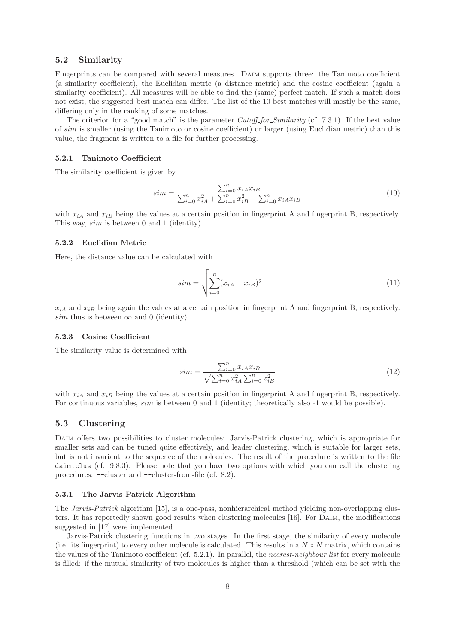#### 5.2 Similarity

Fingerprints can be compared with several measures. Daim supports three: the Tanimoto coefficient (a similarity coefficient), the Euclidian metric (a distance metric) and the cosine coefficient (again a similarity coefficient). All measures will be able to find the (same) perfect match. If such a match does not exist, the suggested best match can differ. The list of the 10 best matches will mostly be the same, differing only in the ranking of some matches.

The criterion for a "good match" is the parameter *Cutoff for Similarity* (cf. 7.3.1). If the best value of sim is smaller (using the Tanimoto or cosine coefficient) or larger (using Euclidian metric) than this value, the fragment is written to a file for further processing.

#### 5.2.1 Tanimoto Coefficient

The similarity coefficient is given by

$$
sim = \frac{\sum_{i=0}^{n} x_{iA} x_{iB}}{\sum_{i=0}^{n} x_{iA}^2 + \sum_{i=0}^{n} x_{iB}^2 - \sum_{i=0}^{n} x_{iA} x_{iB}}
$$
(10)

with  $x_{iA}$  and  $x_{iB}$  being the values at a certain position in fingerprint A and fingerprint B, respectively. This way, sim is between 0 and 1 (identity).

#### 5.2.2 Euclidian Metric

Here, the distance value can be calculated with

$$
sim = \sqrt{\sum_{i=0}^{n} (x_{iA} - x_{iB})^2}
$$
 (11)

 $x_{iA}$  and  $x_{iB}$  being again the values at a certain position in fingerprint A and fingerprint B, respectively. sim thus is between  $\infty$  and 0 (identity).

#### 5.2.3 Cosine Coefficient

The similarity value is determined with

$$
sim = \frac{\sum_{i=0}^{n} x_{iA} x_{iB}}{\sqrt{\sum_{i=0}^{n} x_{iA}^{2} \sum_{i=0}^{n} x_{iB}^{2}}}
$$
(12)

with  $x_{iA}$  and  $x_{iB}$  being the values at a certain position in fingerprint A and fingerprint B, respectively. For continuous variables, sim is between 0 and 1 (identity; theoretically also -1 would be possible).

#### 5.3 Clustering

Daim offers two possibilities to cluster molecules: Jarvis-Patrick clustering, which is appropriate for smaller sets and can be tuned quite effectively, and leader clustering, which is suitable for larger sets, but is not invariant to the sequence of the molecules. The result of the procedure is written to the file daim.clus (cf. 9.8.3). Please note that you have two options with which you can call the clustering procedures: --cluster and --cluster-from-file (cf. 8.2).

#### 5.3.1 The Jarvis-Patrick Algorithm

The *Jarvis-Patrick* algorithm [15], is a one-pass, nonhierarchical method yielding non-overlapping clusters. It has reportedly shown good results when clustering molecules [16]. For Daim, the modifications suggested in [17] were implemented.

Jarvis-Patrick clustering functions in two stages. In the first stage, the similarity of every molecule (i.e. its fingerprint) to every other molecule is calculated. This results in a  $N \times N$  matrix, which contains the values of the Tanimoto coefficient (cf. 5.2.1). In parallel, the *nearest-neighbour list* for every molecule is filled: if the mutual similarity of two molecules is higher than a threshold (which can be set with the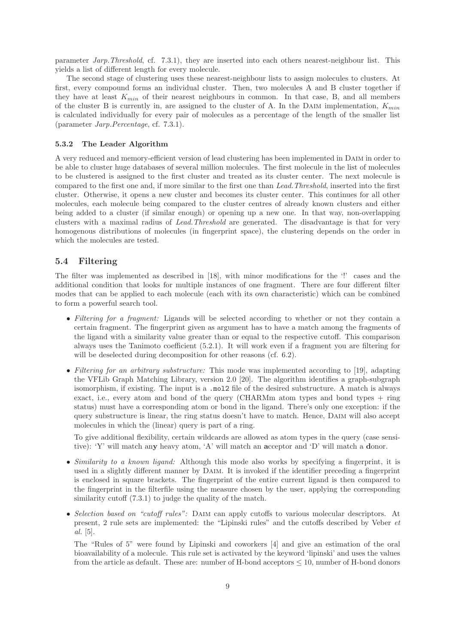parameter *Jarp.Threshold*, cf. 7.3.1), they are inserted into each others nearest-neighbour list. This yields a list of different length for every molecule.

The second stage of clustering uses these nearest-neighbour lists to assign molecules to clusters. At first, every compound forms an individual cluster. Then, two molecules A and B cluster together if they have at least  $K_{min}$  of their nearest neighbours in common. In that case, B, and all members of the cluster B is currently in, are assigned to the cluster of A. In the DAIM implementation,  $K_{min}$ is calculated individually for every pair of molecules as a percentage of the length of the smaller list (parameter *Jarp.Percentage*, cf. 7.3.1).

#### 5.3.2 The Leader Algorithm

A very reduced and memory-efficient version of lead clustering has been implemented in Daim in order to be able to cluster huge databases of several million molecules. The first molecule in the list of molecules to be clustered is assigned to the first cluster and treated as its cluster center. The next molecule is compared to the first one and, if more similar to the first one than *Lead.Threshold*, inserted into the first cluster. Otherwise, it opens a new cluster and becomes its cluster center. This continues for all other molecules, each molecule being compared to the cluster centres of already known clusters and either being added to a cluster (if similar enough) or opening up a new one. In that way, non-overlapping clusters with a maximal radius of *Lead.Threshold* are generated. The disadvantage is that for very homogenous distributions of molecules (in fingerprint space), the clustering depends on the order in which the molecules are tested.

#### 5.4 Filtering

The filter was implemented as described in [18], with minor modifications for the '!' cases and the additional condition that looks for multiple instances of one fragment. There are four different filter modes that can be applied to each molecule (each with its own characteristic) which can be combined to form a powerful search tool.

- *Filtering for a fragment:* Ligands will be selected according to whether or not they contain a certain fragment. The fingerprint given as argument has to have a match among the fragments of the ligand with a similarity value greater than or equal to the respective cutoff. This comparison always uses the Tanimoto coefficient (5.2.1). It will work even if a fragment you are filtering for will be deselected during decomposition for other reasons (cf. 6.2).
- *Filtering for an arbitrary substructure:* This mode was implemented according to [19], adapting the VFLib Graph Matching Library, version 2.0 [20]. The algorithm identifies a graph-subgraph isomorphism, if existing. The input is a .mol2 file of the desired substructure. A match is always exact, i.e., every atom and bond of the query (CHARMm atom types and bond types + ring status) must have a corresponding atom or bond in the ligand. There's only one exception: if the query substructure is linear, the ring status doesn't have to match. Hence, Daim will also accept molecules in which the (linear) query is part of a ring.

To give additional flexibility, certain wildcards are allowed as atom types in the query (case sensitive): 'Y' will match any heavy atom, 'A' will match an acceptor and 'D' will match a donor.

- *Similarity to a known ligand:* Although this mode also works by specifying a fingerprint, it is used in a slightly different manner by Daim. It is invoked if the identifier preceding a fingerprint is enclosed in square brackets. The fingerprint of the entire current ligand is then compared to the fingerprint in the filterfile using the measure chosen by the user, applying the corresponding similarity cutoff  $(7.3.1)$  to judge the quality of the match.
- *Selection based on "cutoff rules":* Daim can apply cutoffs to various molecular descriptors. At present, 2 rule sets are implemented: the "Lipinski rules" and the cutoffs described by Veber *et al.* [5].

The "Rules of 5" were found by Lipinski and coworkers [4] and give an estimation of the oral bioavailability of a molecule. This rule set is activated by the keyword 'lipinski' and uses the values from the article as default. These are: number of H-bond acceptors ≤ 10, number of H-bond donors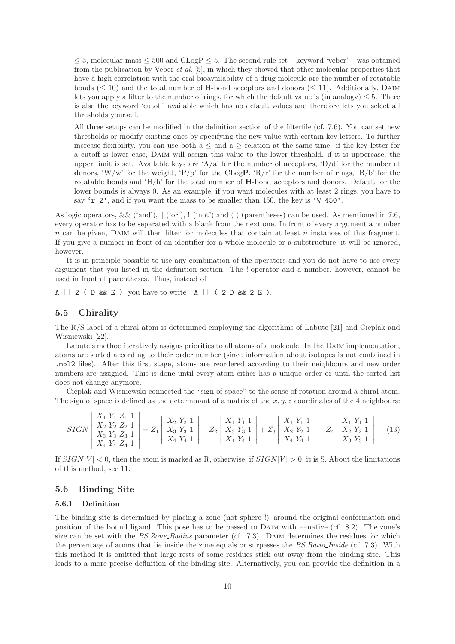$\leq$  5, molecular mass  $\leq$  500 and CLogP  $\leq$  5. The second rule set – keyword 'veber' – was obtained from the publication by Veber *et al.* [5], in which they showed that other molecular properties that have a high correlation with the oral bioavailability of a drug molecule are the number of rotatable bonds  $(< 10$ ) and the total number of H-bond acceptors and donors  $(< 11)$ . Additionally, DAIM lets you apply a filter to the number of rings, for which the default value is (in analogy)  $\leq 5$ . There is also the keyword 'cutoff' available which has no default values and therefore lets you select all thresholds yourself.

All three setups can be modified in the definition section of the filterfile (cf. 7.6). You can set new thresholds or modify existing ones by specifying the new value with certain key letters. To further increase flexibility, you can use both  $a \leq$  and  $a \geq$  relation at the same time: if the key letter for a cutoff is lower case, Daim will assign this value to the lower threshold, if it is uppercase, the upper limit is set. Available keys are 'A/a' for the number of acceptors, 'D/d' for the number of donors, 'W/w' for the weight, 'P/p' for the CLogP, 'R/r' for the number of rings, 'B/b' for the rotatable bonds and  $H/h'$  for the total number of  $H$ -bond acceptors and donors. Default for the lower bounds is always 0. As an example, if you want molecules with at least 2 rings, you have to say 'r 2', and if you want the mass to be smaller than 450, the key is 'W 450'.

As logic operators, && ('and'),  $\parallel$  ('or'), ! ('not') and ( ) (parentheses) can be used. As mentioned in 7.6, every operator has to be separated with a blank from the next one. In front of every argument a number  $n$  can be given, DAIM will then filter for molecules that contain at least  $n$  instances of this fragment. If you give a number in front of an identifier for a whole molecule or a substructure, it will be ignored, however.

It is in principle possible to use any combination of the operators and you do not have to use every argument that you listed in the definition section. The !-operator and a number, however, cannot be used in front of parentheses. Thus, instead of

A || 2 ( D & E ) you have to write A || (  $2$  D &  $2$  E ).

#### 5.5 Chirality

The R/S label of a chiral atom is determined employing the algorithms of Labute [21] and Cieplak and Wisniewski [22].

Labute's method iteratively assigns priorities to all atoms of a molecule. In the DAIM implementation, atoms are sorted according to their order number (since information about isotopes is not contained in .mol2 files). After this first stage, atoms are reordered according to their neighbours and new order numbers are assigned. This is done until every atom either has a unique order or until the sorted list does not change anymore.

Cieplak and Wisniewski connected the "sign of space" to the sense of rotation around a chiral atom. The sign of space is defined as the determinant of a matrix of the  $x, y, z$  coordinates of the 4 neighbours:

$$
SIGN\left|\begin{array}{c} X_1 \ Y_1 \ Z_1 \ 1 \\ X_2 \ Y_2 \ Z_2 \ 1 \\ X_3 \ Y_3 \ Z_3 \ 1 \\ X_4 \ Y_4 \ Z_4 \ 1 \end{array}\right|=Z_1\left|\begin{array}{c} X_2 \ Y_2 \ 1 \\ X_3 \ Y_3 \ 1 \\ X_4 \ Y_4 \ 1 \end{array}\right|-Z_2\left|\begin{array}{c} X_1 \ Y_1 \ 1 \\ X_3 \ Y_3 \ 1 \\ X_4 \ Y_4 \ 1 \end{array}\right|+Z_3\left|\begin{array}{c} X_1 \ Y_1 \ 1 \\ X_2 \ Y_2 \ 1 \\ X_4 \ Y_4 \ 1 \end{array}\right|-Z_4\left|\begin{array}{c} X_1 \ Y_1 \ 1 \\ X_2 \ Y_2 \ 1 \\ X_3 \ Y_3 \ 1 \end{array}\right| \tag{13}
$$

If  $SIGN|V| < 0$ , then the atom is marked as R, otherwise, if  $SIGN|V| > 0$ , it is S. About the limitations of this method, see 11.

#### 5.6 Binding Site

#### 5.6.1 Definition

The binding site is determined by placing a zone (not sphere !) around the original conformation and position of the bound ligand. This pose has to be passed to Daim with --native (cf. 8.2). The zone's size can be set with the *BS.Zone\_Radius* parameter (cf. 7.3). DAIM determines the residues for which the percentage of atoms that lie inside the zone equals or surpasses the *BS.Ratio Inside* (cf. 7.3). With this method it is omitted that large rests of some residues stick out away from the binding site. This leads to a more precise definition of the binding site. Alternatively, you can provide the definition in a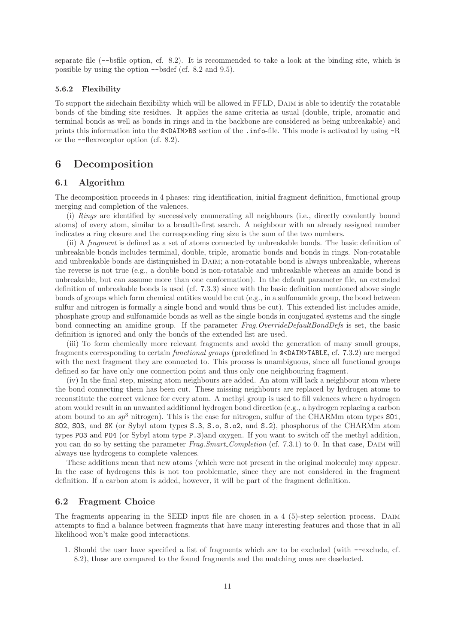separate file (--bsfile option, cf. 8.2). It is recommended to take a look at the binding site, which is possible by using the option --bsdef (cf. 8.2 and 9.5).

#### 5.6.2 Flexibility

To support the sidechain flexibility which will be allowed in FFLD, Daim is able to identify the rotatable bonds of the binding site residues. It applies the same criteria as usual (double, triple, aromatic and terminal bonds as well as bonds in rings and in the backbone are considered as being unbreakable) and prints this information into the @<DAIM>BS section of the .info-file. This mode is activated by using -R or the --flexreceptor option (cf. 8.2).

### 6 Decomposition

#### 6.1 Algorithm

The decomposition proceeds in 4 phases: ring identification, initial fragment definition, functional group merging and completion of the valences.

(i) *Rings* are identified by successively enumerating all neighbours (i.e., directly covalently bound atoms) of every atom, similar to a breadth-first search. A neighbour with an already assigned number indicates a ring closure and the corresponding ring size is the sum of the two numbers.

(ii) A *fragment* is defined as a set of atoms connected by unbreakable bonds. The basic definition of unbreakable bonds includes terminal, double, triple, aromatic bonds and bonds in rings. Non-rotatable and unbreakable bonds are distinguished in DAIM; a non-rotatable bond is always unbreakable, whereas the reverse is not true (e.g., a double bond is non-rotatable and unbreakable whereas an amide bond is unbreakable, but can assume more than one conformation). In the default parameter file, an extended definition of unbreakable bonds is used (cf. 7.3.3) since with the basic definition mentioned above single bonds of groups which form chemical entities would be cut (e.g., in a sulfonamide group, the bond between sulfur and nitrogen is formally a single bond and would thus be cut). This extended list includes amide, phosphate group and sulfonamide bonds as well as the single bonds in conjugated systems and the single bond connecting an amidine group. If the parameter *Frag.OverrideDefaultBondDefs* is set, the basic definition is ignored and only the bonds of the extended list are used.

(iii) To form chemically more relevant fragments and avoid the generation of many small groups, fragments corresponding to certain *functional groups* (predefined in @<DAIM>TABLE, cf. 7.3.2) are merged with the next fragment they are connected to. This process is unambiguous, since all functional groups defined so far have only one connection point and thus only one neighbouring fragment.

(iv) In the final step, missing atom neighbours are added. An atom will lack a neighbour atom where the bond connecting them has been cut. These missing neighbours are replaced by hydrogen atoms to reconstitute the correct valence for every atom. A methyl group is used to fill valences where a hydrogen atom would result in an unwanted additional hydrogen bond direction (e.g., a hydrogen replacing a carbon atom bound to an  $sp^3$  nitrogen). This is the case for nitrogen, sulfur of the CHARMm atom types  $\text{SO1}$ , SO2, SO3, and SK (or Sybyl atom types S.3, S.o, S.o2, and S.2), phosphorus of the CHARMm atom types PO3 and PO4 (or Sybyl atom type P.3)and oxygen. If you want to switch off the methyl addition, you can do so by setting the parameter *Frag.Smart Completion* (cf. 7.3.1) to 0. In that case, Daim will always use hydrogens to complete valences.

These additions mean that new atoms (which were not present in the original molecule) may appear. In the case of hydrogens this is not too problematic, since they are not considered in the fragment definition. If a carbon atom is added, however, it will be part of the fragment definition.

#### 6.2 Fragment Choice

The fragments appearing in the SEED input file are chosen in a 4 (5)-step selection process. DAIM attempts to find a balance between fragments that have many interesting features and those that in all likelihood won't make good interactions.

1. Should the user have specified a list of fragments which are to be excluded (with --exclude, cf. 8.2), these are compared to the found fragments and the matching ones are deselected.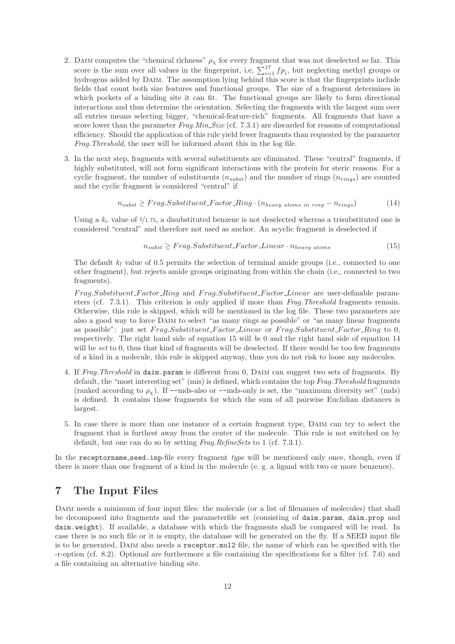- 2. DAIM computes the "chemical richness"  $\rho_{\chi}$  for every fragment that was not deselected so far. This score is the sum over all values in the fingerprint, i.e,  $\sum_{i=1}^{17} fp_i$ , but neglecting methyl groups or hydrogens added by Daim. The assumption lying behind this score is that the fingerprints include fields that count both size features and functional groups. The size of a fragment determines in which pockets of a binding site it can fit. The functional groups are likely to form directional interactions and thus determine the orientation. Selecting the fragments with the largest sum over all entries means selecting bigger, "chemical-feature-rich" fragments. All fragments that have a score lower than the parameter *Frag.Min Size* (cf. 7.3.1) are discarded for reasons of computational efficiency. Should the application of this rule yield fewer fragments than requested by the parameter *Frag.Threshold*, the user will be informed about this in the log file.
- 3. In the next step, fragments with several substituents are eliminated. These "central" fragments, if highly substituted, will not form significant interactions with the protein for steric reasons. For a cyclic fragment, the number of substituents  $(n_{subst})$  and the number of rings  $(n_{rings})$  are counted and the cyclic fragment is considered "central" if

$$
n_{subst} \geq Frag.Substituent\_Factor\_Ring \cdot (n_{heavy atoms in ring} - n_{rings})
$$
\n(14)

Using a  $k_r$  value of  $\frac{1}{1.75}$ , a disubstituted benzene is not deselected whereas a trisubstituted one is considered "central" and therefore not used as anchor. An acyclic fragment is deselected if

$$
n_{subst} \geq Frag.Substituent\_Factor\_Linear \cdot n_{heavy \ atoms} \tag{15}
$$

The default  $k_l$  value of 0.5 permits the selection of terminal amide groups (i.e., connected to one other fragment), but rejects amide groups originating from within the chain (i.e., connected to two fragments).

Frag.Substituent Factor Ring and Frag.Substituent Factor Linear are user-definable parameters (cf. 7.3.1). This criterion is only applied if more than *Frag.Threshold* fragments remain. Otherwise, this rule is skipped, which will be mentioned in the log file. These two parameters are also a good way to force Daim to select "as many rings as possible" or "as many linear fragments as possible": just set Frag.Substituent\_Factor\_Linear or Frag.Substituent\_Factor\_Ring to 0, respectively. The right hand side of equation 15 will *be* 0 and the right hand side of equation 14 will be *set* to 0, thus that kind of fragments will be deselected. If there would be too few fragments of a kind in a molecule, this rule is skipped anyway, thus you do not risk to loose any molecules.

- 4. If *Frag.Threshold* in daim.param is different from 0, Daim can suggest two sets of fragments. By default, the "most interesting set" (mis) is defined, which contains the top *Frag.Threshold* fragments (ranked according to  $\rho_{\chi}$ ). If --mds-also or --mds-only is set, the "maximum diversity set" (mds) is defined. It contains those fragments for which the sum of all pairwise Euclidian distances is largest.
- 5. In case there is more than one instance of a certain fragment type, Daim can try to select the fragment that is furthest away from the center of the molecule. This rule is not switched on by default, but one can do so by setting *Frag.RefineSets* to 1 (cf. 7.3.1).

In the receptorname seed.inp-file every fragment *type* will be mentioned only once, though, even if there is more than one fragment of a kind in the molecule (e. g. a ligand with two or more benzenes).

### 7 The Input Files

DAIM needs a minimum of four input files: the molecule (or a list of filenames of molecules) that shall be decomposed into fragments and the parameterfile set (consisting of daim.param, daim.prop and daim.weight). If available, a database with which the fragments shall be compared will be read. In case there is no such file or it is empty, the database will be generated on the fly. If a SEED input file is to be generated. DAIM also needs a receptor.mol2 file, the name of which can be specified with the -r-option (cf. 8.2). Optional are furthermore a file containing the specifications for a filter (cf. 7.6) and a file containing an alternative binding site.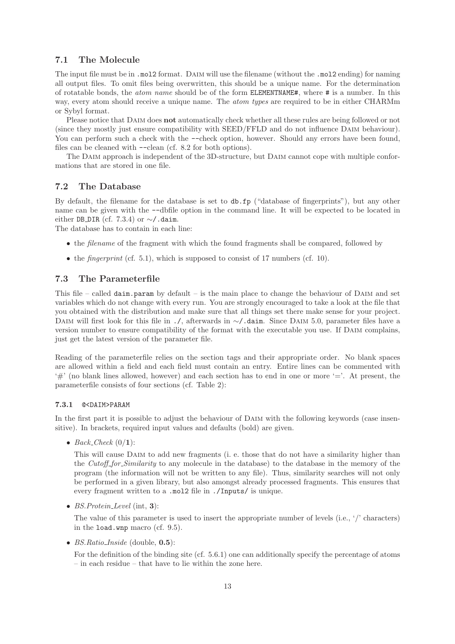#### 7.1 The Molecule

The input file must be in .mol2 format. DAIM will use the filename (without the .mol2 ending) for naming all output files. To omit files being overwritten, this should be a unique name. For the determination of rotatable bonds, the *atom name* should be of the form ELEMENTNAME#, where # is a number. In this way, every atom should receive a unique name. The *atom types* are required to be in either CHARMm or Sybyl format.

Please notice that DAIM does **not** automatically check whether all these rules are being followed or not (since they mostly just ensure compatibility with SEED/FFLD and do not influence Daim behaviour). You can perform such a check with the  $-\text{check option}$ , however. Should any errors have been found, files can be cleaned with  $-\text{clean}$  (cf. 8.2 for both options).

The DAIM approach is independent of the 3D-structure, but DAIM cannot cope with multiple conformations that are stored in one file.

#### 7.2 The Database

By default, the filename for the database is set to db.fp ("database of fingerprints"), but any other name can be given with the --dbfile option in the command line. It will be expected to be located in either DB\_DIR (cf. 7.3.4) or  $\sim$ /.daim.

The database has to contain in each line:

- the *filename* of the fragment with which the found fragments shall be compared, followed by
- the *fingerprint* (cf. 5.1), which is supposed to consist of 17 numbers (cf. 10).

#### 7.3 The Parameterfile

This file – called  $d$ aim.param by default – is the main place to change the behaviour of DAIM and set variables which do not change with every run. You are strongly encouraged to take a look at the file that you obtained with the distribution and make sure that all things set there make sense for your project. DAIM will first look for this file in ./, afterwards in ∼/.daim. Since DAIM 5.0, parameter files have a version number to ensure compatibility of the format with the executable you use. If DAIM complains, just get the latest version of the parameter file.

Reading of the parameterfile relies on the section tags and their appropriate order. No blank spaces are allowed within a field and each field must contain an entry. Entire lines can be commented with  $'#'$  (no blank lines allowed, however) and each section has to end in one or more  $'=$ . At present, the parameterfile consists of four sections (cf. Table 2):

#### 7.3.1 @<DAIM>PARAM

In the first part it is possible to adjust the behaviour of DAIM with the following keywords (case insensitive). In brackets, required input values and defaults (bold) are given.

•  $Back\_Check(0/1))$ :

This will cause Daim to add new fragments (i. e. those that do not have a similarity higher than the *Cutoff for Similarity* to any molecule in the database) to the database in the memory of the program (the information will not be written to any file). Thus, similarity searches will not only be performed in a given library, but also amongst already processed fragments. This ensures that every fragment written to a .mol2 file in ./Inputs/ is unique.

• *BS.Protein Level* (int, 3):

The value of this parameter is used to insert the appropriate number of levels (i.e., '/' characters) in the load.wnp macro (cf. 9.5).

• *BS.Ratio\_Inside* (double, **0.5**):

For the definition of the binding site (cf. 5.6.1) one can additionally specify the percentage of atoms – in each residue – that have to lie within the zone here.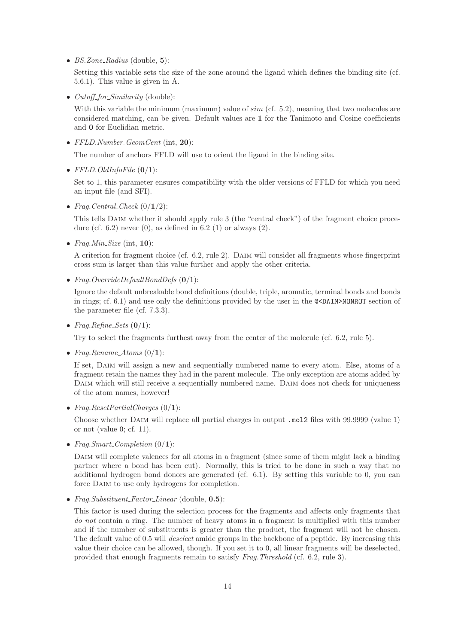• *BS.Zone Radius* (double, 5):

Setting this variable sets the size of the zone around the ligand which defines the binding site (cf.  $(5.6.1)$ . This value is given in  $\AA$ .

• *Cutoff for Similarity* (double):

With this variable the minimum (maximum) value of  $sim$  (cf. 5.2), meaning that two molecules are considered matching, can be given. Default values are 1 for the Tanimoto and Cosine coefficients and 0 for Euclidian metric.

• *FFLD.Number GeomCent* (int, 20):

The number of anchors FFLD will use to orient the ligand in the binding site.

• *FFLD.OldInfoFile* (0/1):

Set to 1, this parameter ensures compatibility with the older versions of FFLD for which you need an input file (and SFI).

• *Frag. Central\_Check*  $(0/1/2)$ :

This tells Daim whether it should apply rule 3 (the "central check") of the fragment choice procedure (cf. 6.2) never  $(0)$ , as defined in 6.2  $(1)$  or always  $(2)$ .

• *Frag.Min Size* (int, 10):

A criterion for fragment choice (cf. 6.2, rule 2). Daim will consider all fragments whose fingerprint cross sum is larger than this value further and apply the other criteria.

• *Frag.OverrideDefaultBondDefs* (0/1):

Ignore the default unbreakable bond definitions (double, triple, aromatic, terminal bonds and bonds in rings; cf. 6.1) and use only the definitions provided by the user in the @<DAIM>NONROT section of the parameter file (cf. 7.3.3).

•  $Fraq.Refine\_Sets$  (0/1):

Try to select the fragments furthest away from the center of the molecule (cf. 6.2, rule 5).

• *Frag.Rename\_Atoms*  $(0/1)$ :

If set, DAIM will assign a new and sequentially numbered name to every atom. Else, atoms of a fragment retain the names they had in the parent molecule. The only exception are atoms added by DAIM which will still receive a sequentially numbered name. DAIM does not check for uniqueness of the atom names, however!

• *Frag.ResetPartialCharges* (0/1):

Choose whether Daim will replace all partial charges in output .mol2 files with 99.9999 (value 1) or not (value 0; cf. 11).

• *Frag.Smart\_Completion*  $(0/1)$ :

DAIM will complete valences for all atoms in a fragment (since some of them might lack a binding partner where a bond has been cut). Normally, this is tried to be done in such a way that no additional hydrogen bond donors are generated (cf. 6.1). By setting this variable to 0, you can force DAIM to use only hydrogens for completion.

• *Frag.Substituent Factor Linear* (double, 0.5):

This factor is used during the selection process for the fragments and affects only fragments that *do not* contain a ring. The number of heavy atoms in a fragment is multiplied with this number and if the number of substituents is greater than the product, the fragment will not be chosen. The default value of 0.5 will *deselect* amide groups in the backbone of a peptide. By increasing this value their choice can be allowed, though. If you set it to 0, all linear fragments will be deselected, provided that enough fragments remain to satisfy *Frag.Threshold* (cf. 6.2, rule 3).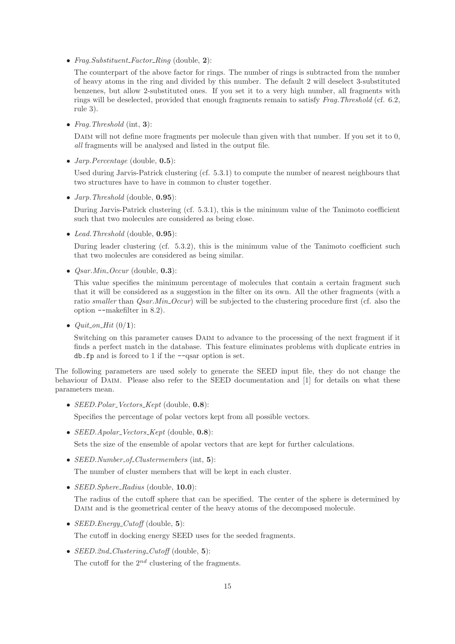• *Frag.Substituent Factor Ring* (double, 2):

The counterpart of the above factor for rings. The number of rings is subtracted from the number of heavy atoms in the ring and divided by this number. The default 2 will deselect 3-substituted benzenes, but allow 2-substituted ones. If you set it to a very high number, all fragments with rings will be deselected, provided that enough fragments remain to satisfy *Frag.Threshold* (cf. 6.2, rule 3).

• *Frag.Threshold* (int, 3):

DAIM will not define more fragments per molecule than given with that number. If you set it to 0, *all* fragments will be analysed and listed in the output file.

• *Jarp.Percentage* (double, 0.5):

Used during Jarvis-Patrick clustering (cf. 5.3.1) to compute the number of nearest neighbours that two structures have to have in common to cluster together.

• *Jarp.Threshold* (double, 0.95):

During Jarvis-Patrick clustering (cf. 5.3.1), this is the minimum value of the Tanimoto coefficient such that two molecules are considered as being close.

• *Lead.Threshold* (double, 0.95):

During leader clustering (cf. 5.3.2), this is the minimum value of the Tanimoto coefficient such that two molecules are considered as being similar.

• *Qsar.Min Occur* (double, 0.3):

This value specifies the minimum percentage of molecules that contain a certain fragment such that it will be considered as a suggestion in the filter on its own. All the other fragments (with a ratio *smaller* than *Qsar.Min Occur*) will be subjected to the clustering procedure first (cf. also the option --makefilter in 8.2).

•  $Quit\_on\_Hit(0/1)$ :

Switching on this parameter causes Daim to advance to the processing of the next fragment if it finds a perfect match in the database. This feature eliminates problems with duplicate entries in db.fp and is forced to 1 if the --qsar option is set.

The following parameters are used solely to generate the SEED input file, they do not change the behaviour of Daim. Please also refer to the SEED documentation and [1] for details on what these parameters mean.

• *SEED.Polar Vectors Kept* (double, 0.8):

Specifies the percentage of polar vectors kept from all possible vectors.

• *SEED.Apolar Vectors Kept* (double, 0.8):

Sets the size of the ensemble of apolar vectors that are kept for further calculations.

• *SEED.Number\_of\_Clustermembers* (int, 5):

The number of cluster members that will be kept in each cluster.

• *SEED.Sphere Radius* (double, 10.0):

The radius of the cutoff sphere that can be specified. The center of the sphere is determined by DAIM and is the geometrical center of the heavy atoms of the decomposed molecule.

• *SEED.Energy Cutoff* (double, 5):

The cutoff in docking energy SEED uses for the seeded fragments.

• *SEED.2nd Clustering Cutoff* (double, 5): The cutoff for the  $2^{nd}$  clustering of the fragments.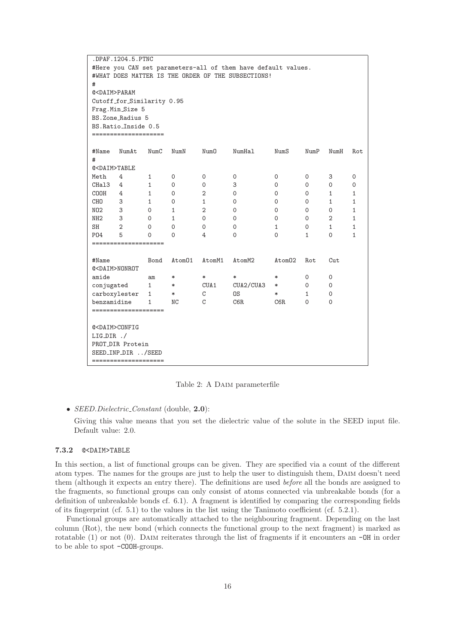| .DPAF.1204.5.PTNC                                             |                            |              |          |        |           |        |              |              |              |
|---------------------------------------------------------------|----------------------------|--------------|----------|--------|-----------|--------|--------------|--------------|--------------|
| #Here you CAN set parameters-all of them have default values. |                            |              |          |        |           |        |              |              |              |
| #WHAT DOES MATTER IS THE ORDER OF THE SUBSECTIONS!            |                            |              |          |        |           |        |              |              |              |
| #                                                             |                            |              |          |        |           |        |              |              |              |
| @ <daim>PARAM</daim>                                          |                            |              |          |        |           |        |              |              |              |
|                                                               | Cutoff_for_Similarity 0.95 |              |          |        |           |        |              |              |              |
|                                                               | Frag. Min_Size 5           |              |          |        |           |        |              |              |              |
|                                                               | BS.Zone_Radius 5           |              |          |        |           |        |              |              |              |
|                                                               | BS. Ratio_Inside 0.5       |              |          |        |           |        |              |              |              |
|                                                               | ====================       |              |          |        |           |        |              |              |              |
|                                                               |                            |              |          |        |           |        |              |              |              |
| #Name                                                         | NumAt                      | NumC         | NumN     | NumO   | NumHal    | NumS   | NumP         | NumH         | Rot          |
| #                                                             |                            |              |          |        |           |        |              |              |              |
| @ <daim>TABLE</daim>                                          |                            |              |          |        |           |        |              |              |              |
| Meth                                                          | 4                          | 1            | 0        | 0      | 0         | 0      | 0            | 3            | 0            |
| CHal3                                                         | 4                          | 1            | 0        | 0      | 3         | 0      | 0            | 0            | 0            |
| COOH                                                          | 4                          | $\mathbf{1}$ | 0        | 2      | 0         | 0      | 0            | $\mathbf{1}$ | $\mathbf{1}$ |
| CHO                                                           | 3                          | 1            | 0        | 1      | 0         | 0      | 0            | $\mathbf{1}$ | $\mathbf{1}$ |
| NO2                                                           | 3                          | 0            | 1        | 2      | 0         | 0      | 0            | 0            | 1            |
| NH <sub>2</sub>                                               | 3                          | 0            | 1        | 0      | 0         | 0      | 0            | 2            | 1            |
| SH                                                            | 2                          | 0            | 0        | 0      | 0         | 1      | 0            | 1            | 1            |
| P04                                                           | 5                          | $\Omega$     | $\Omega$ | 4      | 0         | 0      | $\mathbf{1}$ | $\Omega$     | $\mathbf{1}$ |
|                                                               | ====================       |              |          |        |           |        |              |              |              |
|                                                               |                            |              |          |        |           |        |              |              |              |
| #Name                                                         |                            | Bond         | Atom01   | AtomM1 | AtomM2    | Atom02 | Rot          | Cut          |              |
| @ <daim>NONROT</daim>                                         |                            |              |          |        |           |        |              |              |              |
| amide                                                         |                            | am           | $\ast$   | $\ast$ | $\ast$    | $\ast$ | 0            | 0            |              |
| conjugated                                                    |                            | $\mathbf{1}$ | $\ast$   | CUA1   | CUA2/CUA3 | $\ast$ | 0            | 0            |              |
| carboxylester                                                 |                            | 1            | $\ast$   | C      | OS        | $\ast$ | 1            | 0            |              |
| benzamidine                                                   |                            | $\mathbf{1}$ | ΝC       | C      | C6R       | C6R    | $\mathbf 0$  | $\mathbf 0$  |              |
|                                                               | ====================       |              |          |        |           |        |              |              |              |
|                                                               |                            |              |          |        |           |        |              |              |              |
| @ <daim>CONFIG</daim>                                         |                            |              |          |        |           |        |              |              |              |
| $LIG_DIR$ ./                                                  |                            |              |          |        |           |        |              |              |              |
| PROT_DIR Protein                                              |                            |              |          |        |           |        |              |              |              |
|                                                               | SEED_INP_DIR /SEED         |              |          |        |           |        |              |              |              |
| ====================                                          |                            |              |          |        |           |        |              |              |              |

Table 2: A Daim parameterfile

#### • *SEED.Dielectric Constant* (double, 2.0):

Giving this value means that you set the dielectric value of the solute in the SEED input file. Default value: 2.0.

#### 7.3.2 @<DAIM>TABLE

In this section, a list of functional groups can be given. They are specified via a count of the different atom types. The names for the groups are just to help the user to distinguish them, Daim doesn't need them (although it expects an entry there). The definitions are used *before* all the bonds are assigned to the fragments, so functional groups can only consist of atoms connected via unbreakable bonds (for a definition of unbreakable bonds cf. 6.1). A fragment is identified by comparing the corresponding fields of its fingerprint (cf. 5.1) to the values in the list using the Tanimoto coefficient (cf. 5.2.1).

Functional groups are automatically attached to the neighbouring fragment. Depending on the last column (Rot), the new bond (which connects the functional group to the next fragment) is marked as rotatable (1) or not (0). DAIM reiterates through the list of fragments if it encounters an  $-\theta$ H in order to be able to spot -COOH-groups.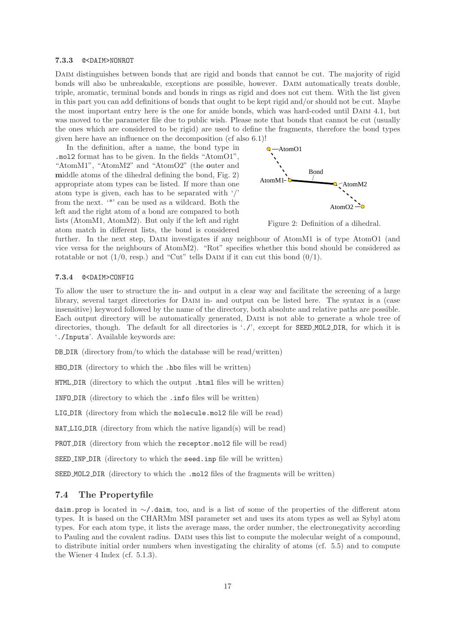#### 7.3.3 @<DAIM>NONROT

DAIM distinguishes between bonds that are rigid and bonds that cannot be cut. The majority of rigid bonds will also be unbreakable, exceptions are possible, however. Daim automatically treats double, triple, aromatic, terminal bonds and bonds in rings as rigid and does not cut them. With the list given in this part you can add definitions of bonds that ought to be kept rigid and/or should not be cut. Maybe the most important entry here is the one for amide bonds, which was hard-coded until DAIM 4.1, but was moved to the parameter file due to public wish. Please note that bonds that cannot be cut (usually the ones which are considered to be rigid) are used to define the fragments, therefore the bond types given here have an influence on the decomposition (cf also 6.1)!

In the definition, after a name, the bond type in  $Q - A$ tomO1 .mol2 format has to be given. In the fields "AtomO1", "AtomM1", "AtomM2" and "AtomO2" (the outer and middle atoms of the dihedral defining the bond, Fig. 2) appropriate atom types can be listed. If more than one atom type is given, each has to be separated with '/' from the next. '\*' can be used as a wildcard. Both the left and the right atom of a bond are compared to both lists (AtomM1, AtomM2). But only if the left and right atom match in different lists, the bond is considered



Figure 2: Definition of a dihedral.

further. In the next step, DAIM investigates if any neighbour of AtomM1 is of type AtomO1 (and vice versa for the neighbours of AtomM2). "Rot" specifies whether this bond should be considered as rotatable or not  $(1/0, \text{resp.})$  and "Cut" tells DAIM if it can cut this bond  $(0/1)$ .

#### 7.3.4 @<DAIM>CONFIG

To allow the user to structure the in- and output in a clear way and facilitate the screening of a large library, several target directories for DAIM in- and output can be listed here. The syntax is a (case insensitive) keyword followed by the name of the directory, both absolute and relative paths are possible. Each output directory will be automatically generated, Daim is not able to generate a whole tree of directories, though. The default for all directories is './', except for **SEED\_MOL2\_DIR**, for which it is './Inputs'. Available keywords are:

DB DIR (directory from/to which the database will be read/written)

HBO DIR (directory to which the .hbo files will be written)

HTML DIR (directory to which the output .html files will be written)

INFO DIR (directory to which the .info files will be written)

LIG DIR (directory from which the molecule.mol2 file will be read)

 $NAT_LIG_DIR$  (directory from which the native ligand(s) will be read)

PROT DIR (directory from which the receptor.mol2 file will be read)

SEED INP DIR (directory to which the seed.inp file will be written)

SEED MOL2 DIR (directory to which the .mol2 files of the fragments will be written)

#### 7.4 The Propertyfile

daim.prop is located in ∼/.daim, too, and is a list of some of the properties of the different atom types. It is based on the CHARMm MSI parameter set and uses its atom types as well as Sybyl atom types. For each atom type, it lists the average mass, the order number, the electronegativity according to Pauling and the covalent radius. Daim uses this list to compute the molecular weight of a compound, to distribute initial order numbers when investigating the chirality of atoms (cf. 5.5) and to compute the Wiener 4 Index (cf. 5.1.3).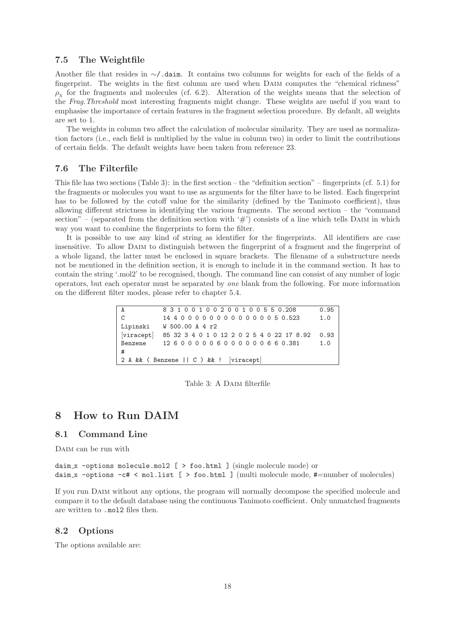#### 7.5 The Weightfile

Another file that resides in ∼/.daim. It contains two columns for weights for each of the fields of a fingerprint. The weights in the first column are used when Daim computes the "chemical richness"  $\rho_{\chi}$  for the fragments and molecules (cf. 6.2). Alteration of the weights means that the selection of the *Frag.Threshold* most interesting fragments might change. These weights are useful if you want to emphasise the importance of certain features in the fragment selection procedure. By default, all weights are set to 1.

The weights in column two affect the calculation of molecular similarity. They are used as normalization factors (i.e., each field is multiplied by the value in column two) in order to limit the contributions of certain fields. The default weights have been taken from reference 23.

#### 7.6 The Filterfile

This file has two sections (Table 3): in the first section – the "definition section" – fingerprints (cf. 5.1) for the fragments or molecules you want to use as arguments for the filter have to be listed. Each fingerprint has to be followed by the cutoff value for the similarity (defined by the Tanimoto coefficient), thus allowing different strictness in identifying the various fragments. The second section – the "command section" – (separated from the definition section with  $'#$ ) consists of a line which tells DAIM in which way you want to combine the fingerprints to form the filter.

It is possible to use any kind of string as identifier for the fingerprints. All identifiers are case insensitive. To allow Daim to distinguish between the fingerprint of a fragment and the fingerprint of a whole ligand, the latter must be enclosed in square brackets. The filename of a substructure needs not be mentioned in the definition section, it is enough to include it in the command section. It has to contain the string '.mol2' to be recognised, though. The command line can consist of any number of logic operators, but each operator must be separated by *one* blank from the following. For more information on the different filter modes, please refer to chapter 5.4.

| $\mathbf{A}$                              | 8 3 1 0 0 1 0 0 2 0 0 1 0 0 5 5 0.208                     |     |  |  |  |
|-------------------------------------------|-----------------------------------------------------------|-----|--|--|--|
| $\mathcal{C}$                             | 14 4 0 0 0 0 0 0 0 0 0 0 0 0 0 5 0.523                    | 1.0 |  |  |  |
|                                           | Lipinski W 500.00 A 4 r2                                  |     |  |  |  |
|                                           | [viracept] 85 32 3 4 0 1 0 12 2 0 2 5 4 0 22 17 8.92 0.93 |     |  |  |  |
| Benzene                                   | 12 6 0 0 0 0 0 6 0 0 0 0 0 0 6 6 0.381                    | 1.0 |  |  |  |
| #                                         |                                                           |     |  |  |  |
| 2 A & & ( Benzene    C ) & & ! [viracept] |                                                           |     |  |  |  |

Table 3: A Daim filterfile

### 8 How to Run DAIM

#### 8.1 Command Line

DAIM can be run with

```
daim x -options molecule.mol2 \lceil > foo.html 1 (single molecule mode) or
daim x -options -c# < mol.list [ > foo.html ] (multi molecule mode, #=number of molecules)
```
If you run Daim without any options, the program will normally decompose the specified molecule and compare it to the default database using the continuous Tanimoto coefficient. Only unmatched fragments are written to .mol2 files then.

#### 8.2 Options

The options available are: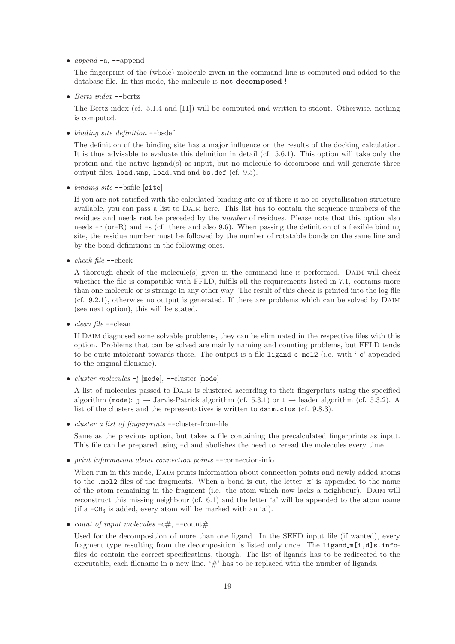•  $append -a$ ,  $-append$ 

The fingerprint of the (whole) molecule given in the command line is computed and added to the database file. In this mode, the molecule is not decomposed !

• *Bertz index* --bertz

The Bertz index (cf. 5.1.4 and [11]) will be computed and written to stdout. Otherwise, nothing is computed.

• *binding site definition* --bsdef

The definition of the binding site has a major influence on the results of the docking calculation. It is thus advisable to evaluate this definition in detail (cf. 5.6.1). This option will take only the protein and the native ligand(s) as input, but no molecule to decompose and will generate three output files, load.wnp, load.vmd and bs.def (cf. 9.5).

• *binding site* --bsfile [site]

If you are not satisfied with the calculated binding site or if there is no co-crystallisation structure available, you can pass a list to Daim here. This list has to contain the sequence numbers of the residues and needs not be preceded by the *number* of residues. Please note that this option also needs -r (or-R) and -s (cf. there and also 9.6). When passing the definition of a flexible binding site, the residue number must be followed by the number of rotatable bonds on the same line and by the bond definitions in the following ones.

• *check file* --check

A thorough check of the molecule(s) given in the command line is performed. Daim will check whether the file is compatible with FFLD, fulfils all the requirements listed in 7.1, contains more than one molecule or is strange in any other way. The result of this check is printed into the log file (cf. 9.2.1), otherwise no output is generated. If there are problems which can be solved by Daim (see next option), this will be stated.

• *clean file* --clean

If DAIM diagnosed some solvable problems, they can be eliminated in the respective files with this option. Problems that can be solved are mainly naming and counting problems, but FFLD tends to be quite intolerant towards those. The output is a file  $ligand_c.mol2$  (i.e. with '<sub>-</sub>c' appended to the original filename).

• *cluster molecules* -j [mode], --cluster [mode]

A list of molecules passed to Daim is clustered according to their fingerprints using the specified algorithm (mode):  $j \rightarrow$  Jarvis-Patrick algorithm (cf. 5.3.1) or  $1 \rightarrow$  leader algorithm (cf. 5.3.2). A list of the clusters and the representatives is written to daim.clus (cf. 9.8.3).

• *cluster a list of fingerprints* --cluster-from-file

Same as the previous option, but takes a file containing the precalculated fingerprints as input. This file can be prepared using -d and abolishes the need to reread the molecules every time.

• *print information about connection points* --connection-info

When run in this mode, DAIM prints information about connection points and newly added atoms to the .mol2 files of the fragments. When a bond is cut, the letter 'x' is appended to the name of the atom remaining in the fragment (i.e. the atom which now lacks a neighbour). Daim will reconstruct this missing neighbour (cf. 6.1) and the letter 'a' will be appended to the atom name (if a  $-CH_3$  is added, every atom will be marked with an 'a').

• *count of input molecules*  $-c\#$ ,  $-count\#$ 

Used for the decomposition of more than one ligand. In the SEED input file (if wanted), every fragment type resulting from the decomposition is listed only once. The ligand  $\mathbb{I}[\mathbf{i},\mathbf{d}]$ s.infofiles do contain the correct specifications, though. The list of ligands has to be redirected to the executable, each filename in a new line.  $\#$  has to be replaced with the number of ligands.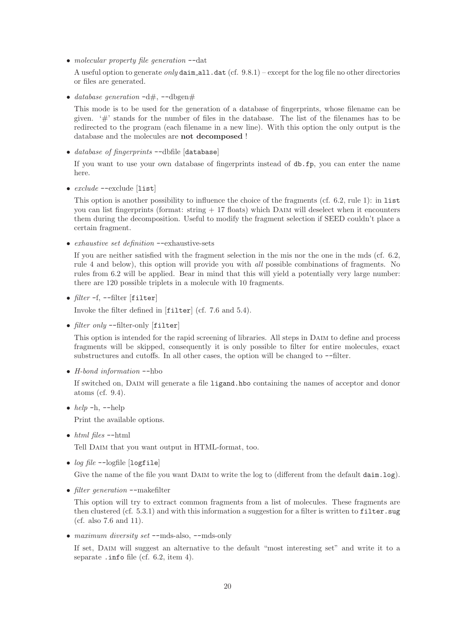• *molecular property file generation* --dat

A useful option to generate *only* daim\_all.dat (cf. 9.8.1) – except for the log file no other directories or files are generated.

• *database generation*  $-d\#$ ,  $-dbgen\#$ 

This mode is to be used for the generation of a database of fingerprints, whose filename can be given.  $4$  stands for the number of files in the database. The list of the filenames has to be redirected to the program (each filename in a new line). With this option the only output is the database and the molecules are not decomposed !

• *database of fingerprints* --dbfile [database]

If you want to use your own database of fingerprints instead of db.fp, you can enter the name here.

• *exclude* --exclude [list]

This option is another possibility to influence the choice of the fragments (cf. 6.2, rule 1): in list you can list fingerprints (format: string  $+17$  floats) which DAIM will deselect when it encounters them during the decomposition. Useful to modify the fragment selection if SEED couldn't place a certain fragment.

• *exhaustive set definition* --exhaustive-sets

If you are neither satisfied with the fragment selection in the mis nor the one in the mds (cf. 6.2, rule 4 and below), this option will provide you with *all* possible combinations of fragments. No rules from 6.2 will be applied. Bear in mind that this will yield a potentially very large number: there are 120 possible triplets in a molecule with 10 fragments.

• *filter* -f, --filter [filter]

Invoke the filter defined in [filter] (cf. 7.6 and 5.4).

• *filter only* --filter-only [filter]

This option is intended for the rapid screening of libraries. All steps in Daim to define and process fragments will be skipped, consequently it is only possible to filter for entire molecules, exact substructures and cutoffs. In all other cases, the option will be changed to --filter.

• *H-bond information* --hbo

If switched on, DAIM will generate a file ligand.hbo containing the names of acceptor and donor atoms (cf. 9.4).

•  $help -h$ ,  $-\text{help}$ 

Print the available options.

• *html files* --html

Tell Daim that you want output in HTML-format, too.

• *log file* --logfile [logfile]

Give the name of the file you want DAIM to write the log to (different from the default daim.log).

• *filter generation* --makefilter

This option will try to extract common fragments from a list of molecules. These fragments are then clustered (cf. 5.3.1) and with this information a suggestion for a filter is written to filter.sug (cf. also 7.6 and 11).

• *maximum diversity set* --mds-also, --mds-only

If set, DAIM will suggest an alternative to the default "most interesting set" and write it to a separate .info file (cf. 6.2, item 4).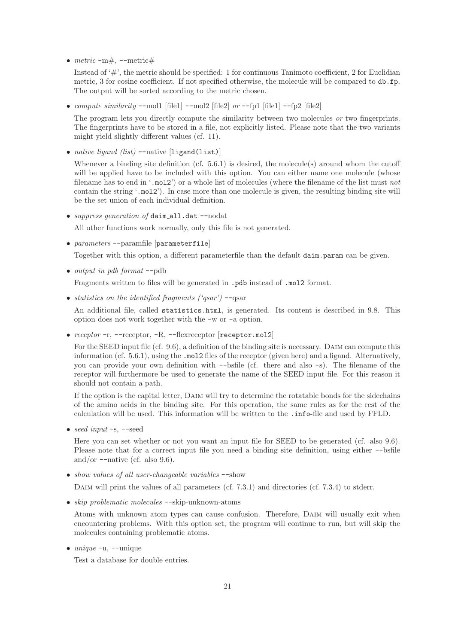•  $metric$   $-m \#$ ,  $--$ metric $#$ 

Instead of  $\#$ ', the metric should be specified: 1 for continuous Tanimoto coefficient, 2 for Euclidian metric, 3 for cosine coefficient. If not specified otherwise, the molecule will be compared to db.fp. The output will be sorted according to the metric chosen.

• *compute similarity* --mol1 [file1] --mol2 [file2] *or* --fp1 [file1] --fp2 [file2]

The program lets you directly compute the similarity between two molecules *or* two fingerprints. The fingerprints have to be stored in a file, not explicitly listed. Please note that the two variants might yield slightly different values (cf. 11).

• *native ligand (list)* --native [ligand(list)]

Whenever a binding site definition (cf. 5.6.1) is desired, the molecule(s) around whom the cutoff will be applied have to be included with this option. You can either name one molecule (whose filename has to end in '.mol2') or a whole list of molecules (where the filename of the list must *not* contain the string '.mol2'). In case more than one molecule is given, the resulting binding site will be the set union of each individual definition.

• *suppress generation of* daim\_all.dat --nodat

All other functions work normally, only this file is not generated.

• *parameters* --paramfile [parameterfile]

Together with this option, a different parameterfile than the default daim.param can be given.

• *output in pdb format* --pdb

Fragments written to files will be generated in .pdb instead of .mol2 format.

• *statistics on the identified fragments ('qsar')* --qsar

An additional file, called statistics.html, is generated. Its content is described in 9.8. This option does not work together with the -w or -a option.

• *receptor* -r, --receptor, -R, --flexreceptor [receptor.mol2]

For the SEED input file (cf. 9.6), a definition of the binding site is necessary. DAIM can compute this information (cf. 5.6.1), using the .mol2 files of the receptor (given here) and a ligand. Alternatively, you can provide your own definition with --bsfile (cf. there and also -s). The filename of the receptor will furthermore be used to generate the name of the SEED input file. For this reason it should not contain a path.

If the option is the capital letter, DAIM will try to determine the rotatable bonds for the sidechains of the amino acids in the binding site. For this operation, the same rules as for the rest of the calculation will be used. This information will be written to the .info-file and used by FFLD.

• *seed input* -s, --seed

Here you can set whether or not you want an input file for SEED to be generated (cf. also 9.6). Please note that for a correct input file you need a binding site definition, using either --bsfile and/or  $\text{-}$ -native (cf. also 9.6).

• *show values of all user-changeable variables* --show

DAIM will print the values of all parameters (cf. 7.3.1) and directories (cf. 7.3.4) to stderr.

• *skip problematic molecules* --skip-unknown-atoms

Atoms with unknown atom types can cause confusion. Therefore, Daim will usually exit when encountering problems. With this option set, the program will continue to run, but will skip the molecules containing problematic atoms.

• *unique* -u, --unique

Test a database for double entries.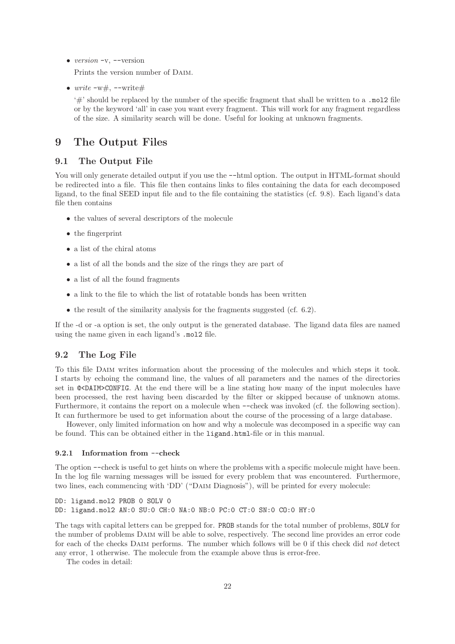• *version* -v, --version

Prints the version number of Daim.

•  $write -w#$ ,  $--write$ 

'#' should be replaced by the number of the specific fragment that shall be written to a .mol2 file or by the keyword 'all' in case you want every fragment. This will work for any fragment regardless of the size. A similarity search will be done. Useful for looking at unknown fragments.

### 9 The Output Files

#### 9.1 The Output File

You will only generate detailed output if you use the  $-$ html option. The output in HTML-format should be redirected into a file. This file then contains links to files containing the data for each decomposed ligand, to the final SEED input file and to the file containing the statistics (cf. 9.8). Each ligand's data file then contains

- the values of several descriptors of the molecule
- the fingerprint
- a list of the chiral atoms
- a list of all the bonds and the size of the rings they are part of
- a list of all the found fragments
- a link to the file to which the list of rotatable bonds has been written
- the result of the similarity analysis for the fragments suggested (cf. 6.2).

If the -d or -a option is set, the only output is the generated database. The ligand data files are named using the name given in each ligand's .mol2 file.

#### 9.2 The Log File

To this file Daim writes information about the processing of the molecules and which steps it took. I starts by echoing the command line, the values of all parameters and the names of the directories set in @<DAIM>CONFIG. At the end there will be a line stating how many of the input molecules have been processed, the rest having been discarded by the filter or skipped because of unknown atoms. Furthermore, it contains the report on a molecule when --check was invoked (cf. the following section). It can furthermore be used to get information about the course of the processing of a large database.

However, only limited information on how and why a molecule was decomposed in a specific way can be found. This can be obtained either in the ligand.html-file or in this manual.

#### 9.2.1 Information from --check

The option --check is useful to get hints on where the problems with a specific molecule might have been. In the log file warning messages will be issued for every problem that was encountered. Furthermore, two lines, each commencing with 'DD' ("Daim Diagnosis"), will be printed for every molecule:

```
DD: ligand.mol2 PROB 0 SOLV 0
DD: ligand.mol2 AN:0 SU:0 CH:0 NA:0 NB:0 PC:0 CT:0 SN:0 CO:0 HY:0
```
The tags with capital letters can be grepped for. PROB stands for the total number of problems, SOLV for the number of problems Daim will be able to solve, respectively. The second line provides an error code for each of the checks Daim performs. The number which follows will be 0 if this check did *not* detect any error, 1 otherwise. The molecule from the example above thus is error-free.

The codes in detail: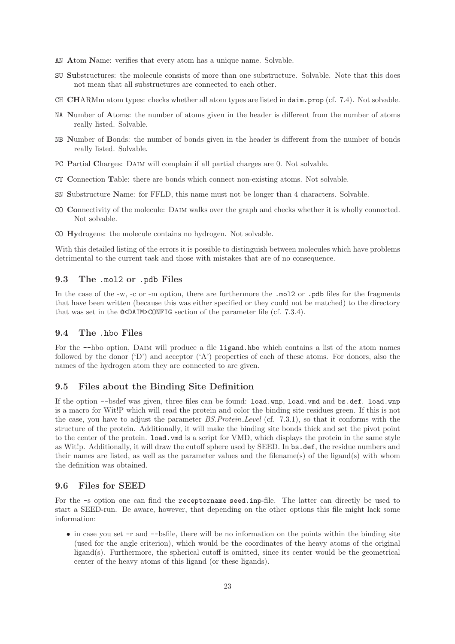- AN Atom Name: verifies that every atom has a unique name. Solvable.
- SU Substructures: the molecule consists of more than one substructure. Solvable. Note that this does not mean that all substructures are connected to each other.
- CH CHARMm atom types: checks whether all atom types are listed in daim.prop (cf. 7.4). Not solvable.
- NA Number of Atoms: the number of atoms given in the header is different from the number of atoms really listed. Solvable.
- NB Number of Bonds: the number of bonds given in the header is different from the number of bonds really listed. Solvable.
- PC Partial Charges: Daim will complain if all partial charges are 0. Not solvable.
- CT Connection Table: there are bonds which connect non-existing atoms. Not solvable.
- SN Substructure Name: for FFLD, this name must not be longer than 4 characters. Solvable.
- CO Connectivity of the molecule: Daim walks over the graph and checks whether it is wholly connected. Not solvable.
- CO Hydrogens: the molecule contains no hydrogen. Not solvable.

With this detailed listing of the errors it is possible to distinguish between molecules which have problems detrimental to the current task and those with mistakes that are of no consequence.

#### 9.3 The .mol2 or .pdb Files

In the case of the -w, -c or -m option, there are furthermore the .mol2 or .pdb files for the fragments that have been written (because this was either specified or they could not be matched) to the directory that was set in the  $\&$  CDAIM>CONFIG section of the parameter file (cf. 7.3.4).

#### 9.4 The .hbo Files

For the  $-\text{hbo option}$ , DAIM will produce a file ligand.hbo which contains a list of the atom names followed by the donor  $'D'$  and acceptor  $'(A')$  properties of each of these atoms. For donors, also the names of the hydrogen atom they are connected to are given.

#### 9.5 Files about the Binding Site Definition

If the option --bsdef was given, three files can be found: load.wnp, load.vmd and bs.def. load.wnp is a macro for Wit!P which will read the protein and color the binding site residues green. If this is not the case, you have to adjust the parameter *BS.Protein Level* (cf. 7.3.1), so that it conforms with the structure of the protein. Additionally, it will make the binding site bonds thick and set the pivot point to the center of the protein. load.vmd is a script for VMD, which displays the protein in the same style as Wit!p. Additionally, it will draw the cutoff sphere used by SEED. In bs.def, the residue numbers and their names are listed, as well as the parameter values and the filename(s) of the ligand(s) with whom the definition was obtained.

#### 9.6 Files for SEED

For the -s option one can find the receptorname seed.inp-file. The latter can directly be used to start a SEED-run. Be aware, however, that depending on the other options this file might lack some information:

• in case you set -r and --bsfile, there will be no information on the points within the binding site (used for the angle criterion), which would be the coordinates of the heavy atoms of the original ligand(s). Furthermore, the spherical cutoff is omitted, since its center would be the geometrical center of the heavy atoms of this ligand (or these ligands).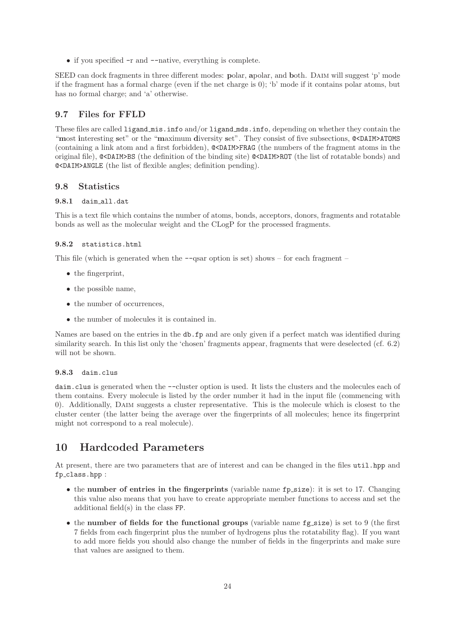• if you specified  $-r$  and  $-r$ -native, everything is complete.

SEED can dock fragments in three different modes: polar, apolar, and both. DAIM will suggest 'p' mode if the fragment has a formal charge (even if the net charge is 0); 'b' mode if it contains polar atoms, but has no formal charge; and 'a' otherwise.

#### 9.7 Files for FFLD

These files are called ligand mis.info and/or ligand mds.info, depending on whether they contain the "most interesting set" or the "maximum diversity set". They consist of five subsections, @<DAIM>ATOMS (containing a link atom and a first forbidden), @<DAIM>FRAG (the numbers of the fragment atoms in the original file), @<DAIM>BS (the definition of the binding site) @<DAIM>ROT (the list of rotatable bonds) and @<DAIM>ANGLE (the list of flexible angles; definition pending).

#### 9.8 Statistics

#### 9.8.1 daim all.dat

This is a text file which contains the number of atoms, bonds, acceptors, donors, fragments and rotatable bonds as well as the molecular weight and the CLogP for the processed fragments.

#### 9.8.2 statistics.html

This file (which is generated when the  $-$ -qsar option is set) shows – for each fragment –

- the fingerprint,
- the possible name,
- the number of occurrences.
- the number of molecules it is contained in.

Names are based on the entries in the db.fp and are only given if a perfect match was identified during similarity search. In this list only the 'chosen' fragments appear, fragments that were deselected (cf. 6.2) will not be shown.

#### 9.8.3 daim.clus

daim.clus is generated when the --cluster option is used. It lists the clusters and the molecules each of them contains. Every molecule is listed by the order number it had in the input file (commencing with 0). Additionally, Daim suggests a cluster representative. This is the molecule which is closest to the cluster center (the latter being the average over the fingerprints of all molecules; hence its fingerprint might not correspond to a real molecule).

### 10 Hardcoded Parameters

At present, there are two parameters that are of interest and can be changed in the files util.hpp and fp class.hpp :

- the number of entries in the fingerprints (variable name fp\_size): it is set to 17. Changing this value also means that you have to create appropriate member functions to access and set the additional field(s) in the class FP.
- the number of fields for the functional groups (variable name  $fg\_size$ ) is set to 9 (the first 7 fields from each fingerprint plus the number of hydrogens plus the rotatability flag). If you want to add more fields you should also change the number of fields in the fingerprints and make sure that values are assigned to them.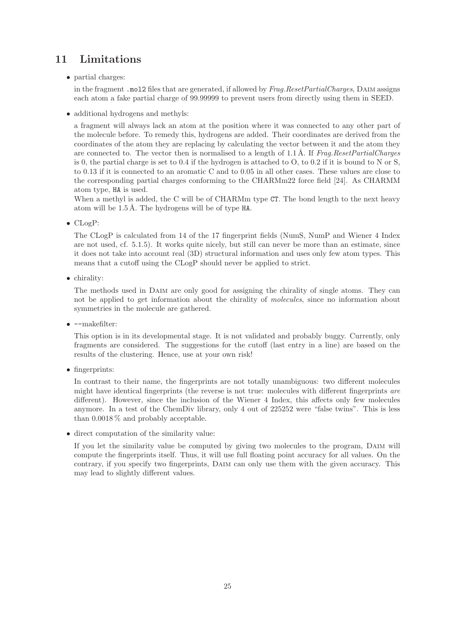# 11 Limitations

• partial charges:

in the fragment .mol2 files that are generated, if allowed by *Frag.ResetPartialCharges*, Daim assigns each atom a fake partial charge of 99.99999 to prevent users from directly using them in SEED.

• additional hydrogens and methyls:

a fragment will always lack an atom at the position where it was connected to any other part of the molecule before. To remedy this, hydrogens are added. Their coordinates are derived from the coordinates of the atom they are replacing by calculating the vector between it and the atom they are connected to. The vector then is normalised to a length of 1.1 Å. If *Frag.ResetPartialCharges* is 0, the partial charge is set to 0.4 if the hydrogen is attached to O, to 0.2 if it is bound to N or S, to 0.13 if it is connected to an aromatic C and to 0.05 in all other cases. These values are close to the corresponding partial charges conforming to the CHARMm22 force field [24]. As CHARMM atom type, HA is used.

When a methyl is added, the C will be of CHARMm type CT. The bond length to the next heavy atom will be  $1.5 \text{ Å}$ . The hydrogens will be of type HA.

• CLogP:

The CLogP is calculated from 14 of the 17 fingerprint fields (NumS, NumP and Wiener 4 Index are not used, cf. 5.1.5). It works quite nicely, but still can never be more than an estimate, since it does not take into account real (3D) structural information and uses only few atom types. This means that a cutoff using the CLogP should never be applied to strict.

• chirality:

The methods used in Daim are only good for assigning the chirality of single atoms. They can not be applied to get information about the chirality of *molecules*, since no information about symmetries in the molecule are gathered.

• --makefilter:

This option is in its developmental stage. It is not validated and probably buggy. Currently, only fragments are considered. The suggestions for the cutoff (last entry in a line) are based on the results of the clustering. Hence, use at your own risk!

• fingerprints:

In contrast to their name, the fingerprints are not totally unambiguous: two different molecules might have identical fingerprints (the reverse is not true: molecules with different fingerprints *are* different). However, since the inclusion of the Wiener 4 Index, this affects only few molecules anymore. In a test of the ChemDiv library, only 4 out of 225252 were "false twins". This is less than 0.0018 % and probably acceptable.

• direct computation of the similarity value:

If you let the similarity value be computed by giving two molecules to the program, DAIM will compute the fingerprints itself. Thus, it will use full floating point accuracy for all values. On the contrary, if you specify two fingerprints, Daim can only use them with the given accuracy. This may lead to slightly different values.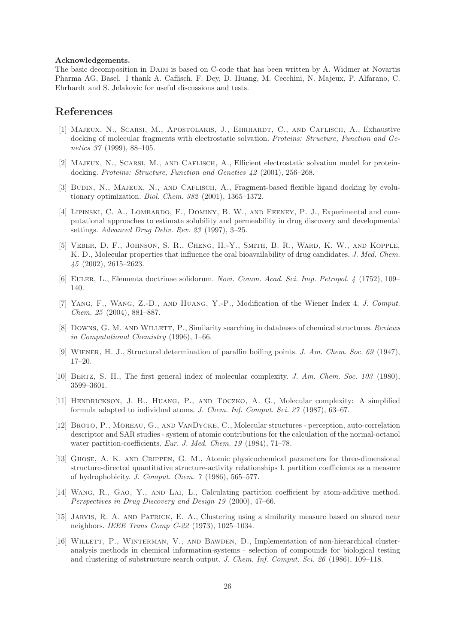#### Acknowledgements.

The basic decomposition in Daim is based on C-code that has been written by A. Widmer at Novartis Pharma AG, Basel. I thank A. Caflisch, F. Dey, D. Huang, M. Cecchini, N. Majeux, P. Alfarano, C. Ehrhardt and S. Jelakovic for useful discussions and tests.

### References

- [1] Majeux, N., Scarsi, M., Apostolakis, J., Ehrhardt, C., and Caflisch, A., Exhaustive docking of molecular fragments with electrostatic solvation. *Proteins: Structure, Function and Genetics 37* (1999), 88–105.
- [2] Majeux, N., Scarsi, M., and Caflisch, A., Efficient electrostatic solvation model for proteindocking. *Proteins: Structure, Function and Genetics 42* (2001), 256–268.
- [3] BUDIN, N., MAJEUX, N., AND CAFLISCH, A., Fragment-based flexible ligand docking by evolutionary optimization. *Biol. Chem. 382* (2001), 1365–1372.
- [4] Lipinski, C. A., Lombardo, F., Dominy, B. W., and Feeney, P. J., Experimental and computational approaches to estimate solubility and permeability in drug discovery and developmental settings. *Advanced Drug Deliv. Rev. 23* (1997), 3–25.
- [5] Veber, D. F., Johnson, S. R., Cheng, H.-Y., Smith, B. R., Ward, K. W., and Kopple, K. D., Molecular properties that influence the oral bioavailability of drug candidates. *J. Med. Chem. 45* (2002), 2615–2623.
- [6] Euler, L., Elementa doctrinae solidorum. *Novi. Comm. Acad. Sci. Imp. Petropol. 4* (1752), 109– 140.
- [7] Yang, F., Wang, Z.-D., and Huang, Y.-P., Modification of the Wiener Index 4. *J. Comput. Chem. 25* (2004), 881–887.
- [8] Downs, G. M. and Willett, P., Similarity searching in databases of chemical structures. *Reviews in Computational Chemistry* (1996), 1–66.
- [9] Wiener, H. J., Structural determination of paraffin boiling points. *J. Am. Chem. Soc. 69* (1947), 17–20.
- [10] Bertz, S. H., The first general index of molecular complexity. *J. Am. Chem. Soc. 103* (1980), 3599–3601.
- [11] Hendrickson, J. B., Huang, P., and Toczko, A. G., Molecular complexity: A simplified formula adapted to individual atoms. *J. Chem. Inf. Comput. Sci. 27* (1987), 63–67.
- [12] Broto, P., Moreau, G., and VanDycke, C., Molecular structures perception, auto-correlation descriptor and SAR studies - system of atomic contributions for the calculation of the normal-octanol water partition-coefficients. *Eur. J. Med. Chem. 19* (1984), 71–78.
- [13] Ghose, A. K. and Crippen, G. M., Atomic physicochemical parameters for three-dimensional structure-directed quantitative structure-activity relationships I. partition coefficients as a measure of hydrophobicity. *J. Comput. Chem. 7* (1986), 565–577.
- [14] Wang, R., Gao, Y., and Lai, L., Calculating partition coefficient by atom-additive method. *Perspectives in Drug Discovery and Design 19* (2000), 47–66.
- [15] Jarvis, R. A. and Patrick, E. A., Clustering using a similarity measure based on shared near neighbors. *IEEE Trans Comp C-22* (1973), 1025–1034.
- [16] WILLETT, P., WINTERMAN, V., AND BAWDEN, D., Implementation of non-hierarchical clusteranalysis methods in chemical information-systems - selection of compounds for biological testing and clustering of substructure search output. *J. Chem. Inf. Comput. Sci. 26* (1986), 109–118.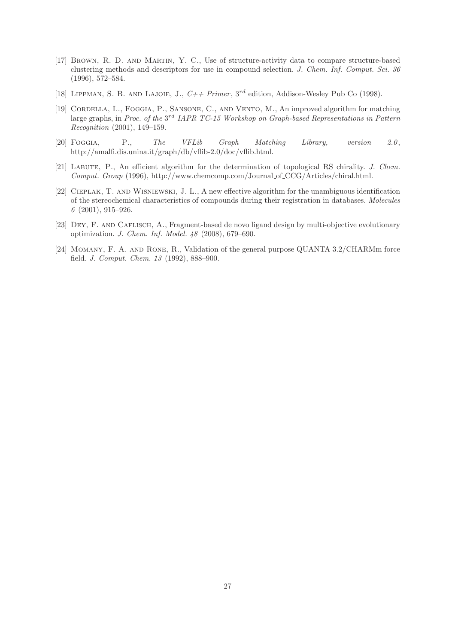- [17] Brown, R. D. and Martin, Y. C., Use of structure-activity data to compare structure-based clustering methods and descriptors for use in compound selection. *J. Chem. Inf. Comput. Sci. 36* (1996), 572–584.
- [18] LIPPMAN, S. B. AND LAJOIE, J.,  $C++ Primer$ ,  $3^{rd}$  edition, Addison-Wesley Pub Co (1998).
- [19] Cordella, L., Foggia, P., Sansone, C., and Vento, M., An improved algorithm for matching large graphs, in *Proc. of the* 3<sup>rd</sup> IAPR TC-15 Workshop on Graph-based Representations in Pattern *Recognition* (2001), 149–159.
- [20] Foggia, P., *The VFLib Graph Matching Library, version 2.0* , http://amalfi.dis.unina.it/graph/db/vflib-2.0/doc/vflib.html.
- [21] Labute, P., An efficient algorithm for the determination of topological RS chirality. *J. Chem. Comput. Group* (1996), http://www.chemcomp.com/Journal of CCG/Articles/chiral.html.
- [22] Cieplak, T. and Wisniewski, J. L., A new effective algorithm for the unambiguous identification of the stereochemical characteristics of compounds during their registration in databases. *Molecules 6* (2001), 915–926.
- [23] Dey, F. and Caflisch, A., Fragment-based de novo ligand design by multi-objective evolutionary optimization. *J. Chem. Inf. Model. 48* (2008), 679–690.
- [24] Momany, F. A. and Rone, R., Validation of the general purpose QUANTA 3.2/CHARMm force field. *J. Comput. Chem. 13* (1992), 888–900.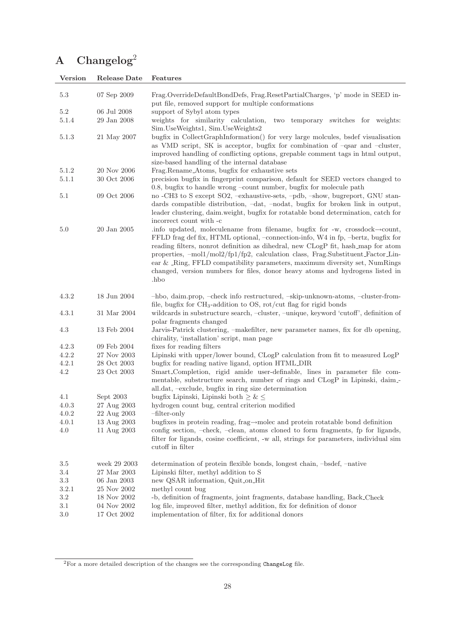# A Changelog<sup>2</sup>

| <b>Version</b> | Release Date | Features                                                                                                                                                                                                                                                                                                                                                                                                                                                                                                       |
|----------------|--------------|----------------------------------------------------------------------------------------------------------------------------------------------------------------------------------------------------------------------------------------------------------------------------------------------------------------------------------------------------------------------------------------------------------------------------------------------------------------------------------------------------------------|
| 5.3            | 07 Sep 2009  | Frag.OverrideDefaultBondDefs, Frag.ResetPartialCharges, 'p' mode in SEED in-<br>put file, removed support for multiple conformations                                                                                                                                                                                                                                                                                                                                                                           |
| 5.2            | 06 Jul 2008  | support of Sybyl atom types                                                                                                                                                                                                                                                                                                                                                                                                                                                                                    |
| 5.1.4          | 29 Jan 2008  | weights for similarity calculation, two temporary switches for weights:                                                                                                                                                                                                                                                                                                                                                                                                                                        |
|                |              | Sim.UseWeights1, Sim.UseWeights2                                                                                                                                                                                                                                                                                                                                                                                                                                                                               |
| 5.1.3          | 21 May 2007  | bugfix in CollectGraphInformation() for very large molcules, bsdef visualisation<br>as VMD script, SK is acceptor, bugfix for combination of -qsar and -cluster,<br>improved handling of conflicting options, grepable comment tags in html output,<br>size-based handling of the internal database                                                                                                                                                                                                            |
| 5.1.2          | 20 Nov 2006  | Frag.Rename_Atoms, bugfix for exhaustive sets                                                                                                                                                                                                                                                                                                                                                                                                                                                                  |
| 5.1.1          | 30 Oct 2006  | precision bugfix in fingerprint comparison, default for SEED vectors changed to<br>0.8, bugfix to handle wrong -count number, bugfix for molecule path                                                                                                                                                                                                                                                                                                                                                         |
| 5.1            | 09 Oct 2006  | no -CH3 to S except SO2, -exhaustive-sets, -pdb, -show, bugreport, GNU stan-<br>dards compatible distribution, -dat, -nodat, bugfix for broken link in output,<br>leader clustering, daim.weight, bugfix for rotatable bond determination, catch for<br>incorrect count with -c                                                                                                                                                                                                                                |
| 5.0            | 20 Jan 2005  | .info updated, moleculename from filename, bugfix for -w, crossdock->count,<br>FFLD frag def fix, HTML optional, -connection-info, W4 in fp, -bertz, bugfix for<br>reading filters, nonrot definition as dihedral, new CLogP fit, hash_map for atom<br>properties, -mol1/mol2/fp1/fp2, calculation class, Frag.Substituent_Factor_Lin-<br>ear & _Ring, FFLD compatibility parameters, maximum diversity set, NumRings<br>changed, version numbers for files, donor heavy atoms and hydrogens listed in<br>hbo. |
| 4.3.2          | 18 Jun 2004  | -hbo, daim.prop, -check info restructured, -skip-unknown-atoms, -cluster-from-                                                                                                                                                                                                                                                                                                                                                                                                                                 |
| 4.3.1          | 31 Mar 2004  | file, bugfix for $CH_3$ -addition to OS, rot/cut flag for rigid bonds<br>wildcards in substructure search, -cluster, -unique, keyword 'cutoff', definition of<br>polar fragments changed                                                                                                                                                                                                                                                                                                                       |
| 4.3            | 13 Feb 2004  | Jarvis-Patrick clustering, -makefilter, new parameter names, fix for db opening,<br>chirality, 'installation' script, man page                                                                                                                                                                                                                                                                                                                                                                                 |
| 4.2.3          | 09 Feb 2004  | fixes for reading filters                                                                                                                                                                                                                                                                                                                                                                                                                                                                                      |
| 4.2.2          | 27 Nov 2003  | Lipinski with upper/lower bound, CLogP calculation from fit to measured LogP                                                                                                                                                                                                                                                                                                                                                                                                                                   |
| 4.2.1          | 28 Oct 2003  | bugfix for reading native ligand, option HTML_DIR                                                                                                                                                                                                                                                                                                                                                                                                                                                              |
| 4.2            | 23 Oct 2003  | Smart_Completion, rigid amide user-definable, lines in parameter file com-<br>mentable, substructure search, number of rings and CLogP in Lipinski, daim.<br>all.dat, -exclude, bugfix in ring size determination                                                                                                                                                                                                                                                                                              |
| 4.1            | Sept 2003    | bugfix Lipinski, Lipinski both $\geq \&\leq$                                                                                                                                                                                                                                                                                                                                                                                                                                                                   |
| 4.0.3          | 27 Aug 2003  | hydrogen count bug, central criterion modified                                                                                                                                                                                                                                                                                                                                                                                                                                                                 |
| 4.0.2          | 22 Aug 2003  | $-fliter-only$                                                                                                                                                                                                                                                                                                                                                                                                                                                                                                 |
| 4.0.1          | 13 Aug 2003  | bugfixes in protein reading, frag $\rightarrow$ molec and protein rotatable bond definition                                                                                                                                                                                                                                                                                                                                                                                                                    |
| 4.0            | 11 Aug 2003  | config section, -check, -clean, atoms cloned to form fragments, fp for ligands,<br>filter for ligands, cosine coefficient, -w all, strings for parameters, individual sim<br>cutoff in filter                                                                                                                                                                                                                                                                                                                  |
| 3.5            | week 29 2003 | determination of protein flexible bonds, longest chain, -bsdef, -native                                                                                                                                                                                                                                                                                                                                                                                                                                        |
| 3.4            | 27 Mar 2003  | Lipinski filter, methyl addition to S                                                                                                                                                                                                                                                                                                                                                                                                                                                                          |
| 3.3            | 06 Jan 2003  | new QSAR information, Quit_on_Hit                                                                                                                                                                                                                                                                                                                                                                                                                                                                              |
| 3.2.1          | 25 Nov 2002  | methyl count bug                                                                                                                                                                                                                                                                                                                                                                                                                                                                                               |
| 3.2            | 18 Nov 2002  | -b, definition of fragments, joint fragments, database handling, Back_Check                                                                                                                                                                                                                                                                                                                                                                                                                                    |
| 3.1            | 04 Nov 2002  | log file, improved filter, methyl addition, fix for definition of donor                                                                                                                                                                                                                                                                                                                                                                                                                                        |
| $3.0\,$        | 17 Oct 2002  | implementation of filter, fix for additional donors                                                                                                                                                                                                                                                                                                                                                                                                                                                            |

 $^{2}$  For a more detailed description of the changes see the corresponding  ${\tt ChangeLog}$  file.